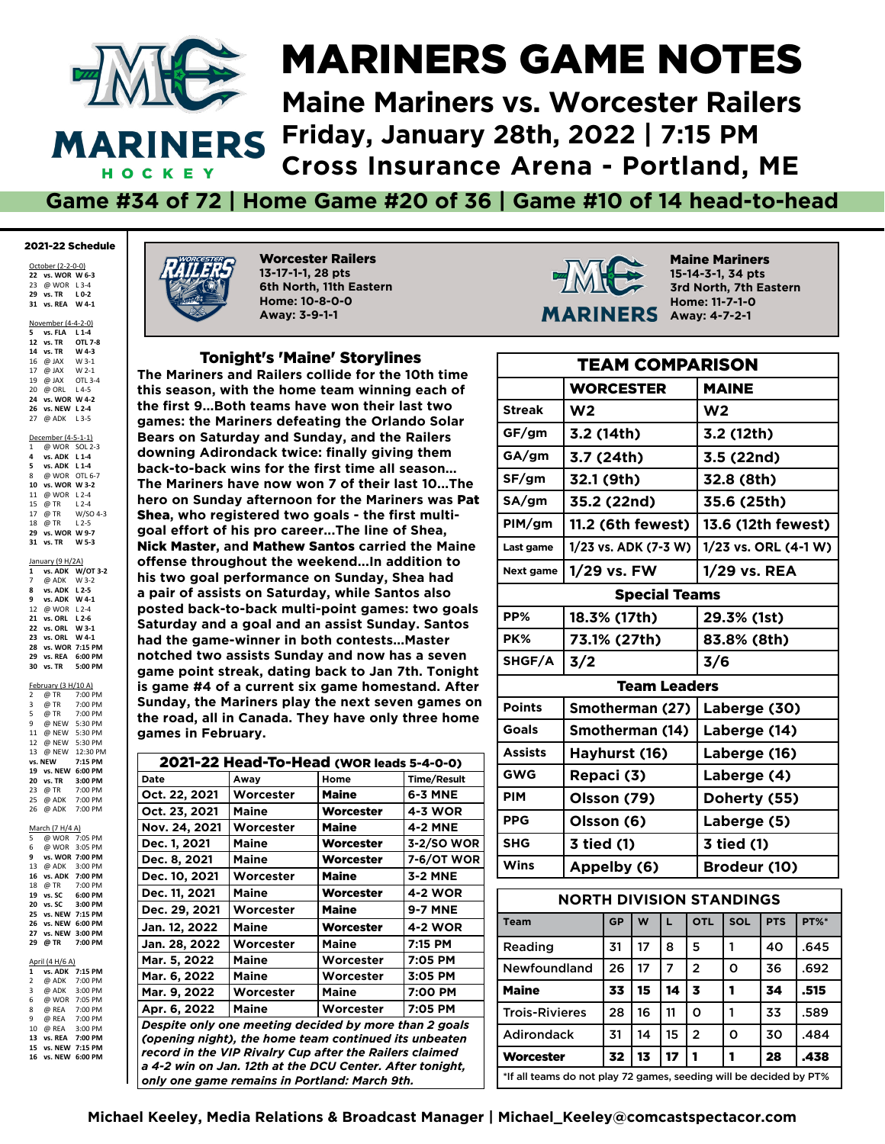

#### MARINERS GAME NOTES

**Maine Mariners vs. Worcester Railers Friday, January 28th, 2022 | 7:15 PM Cross Insurance Arena - Portland, ME**

**Game #34 of 72 | Home Game #20 of 36 | Game #10 of 14 head-to-head**

#### 2021-22 Schedule

October (2-2-0-0) **vs. WOR W 6-3** @ WOR L 3-4 **vs. TR L 0-2 vs. REA W 4-1**

November (4-4-2-0)

**5 vs. FLA L1-4**<br>**12 vs. TR OTL 7-8**<br>**14 vs. TR W** 4-3 **12** *vs.* **TR 14 vs. TR W 4-3** 16  $@$  JAX 17 @ JAX W 2-1<br>19 @ JAX OTL 3-4 19 @ JAX 20 @ ORL L 4-5 **24 vs. WOR W 4-2 26 vs. NEW L 2-4** 27 @ ADK L 3-5 December (4-5-1-1) 1 @ WOR SOL 2-3 **4 vs. ADK L 1-4 5 vs. ADK L 1-4** 8 @ WOR OTL 6-7 **10 vs. WOR W 3-2** 11 @ WOR L 2-4<br>15 @ TR L 2-4 15 @ TR L 2-4<br>17 @ TR W/SO 4-3 17  $\overline{\omega}$  TR 18 @ TR L 2-5 **29 vs. WOR W 9-7 29 vs. WO**<br>**31 vs. TR** January (9 H/2A)<br>1 vs. ADK W

**1 vs. ADK W/OT 3-2** @ ADK W 3-2 **8 vs. ADK L 2-5 vs. ADK W 4-1** @ WOR L 2-4 **vs. ORL L 2-6 vs. ORL W 3-1 23 vs. ORL W 4-1 vs. WOR 7:15 PM vs. REA 6:00 PM vs. TR 5:00 PM**

 $F_{\text{ch}}(3 | H/10 | \Lambda)$ 

|                | <u>February is Hy IV Al</u> |                 |
|----------------|-----------------------------|-----------------|
| $\overline{2}$ | @ TR                        | 7:00 PM         |
| 3              | @ TR                        | 7:00 PM         |
| 5              | @ TR                        | 7:00 PM         |
| 9              |                             | @ NEW 5:30 PM   |
| 11             |                             | @ NEW 5:30 PM   |
| 12             | @ NEW 5:30 PM               |                 |
| 13             |                             | @ NFW 12:30 PM  |
| vs.            | <b>NEW</b>                  | 7:15 PM         |
| 19             |                             | vs. NEW 6:00 PM |
| 20             | vs. TR                      | 3:00 PM         |
| 23             | @ TR                        | 7:00 PM         |
| 25             | @ ADK                       | 7:00 PM         |
| 26             | @ ADK                       | 7:00 PM         |
|                |                             |                 |
|                | March (7 H/4 A)             |                 |
| 5              |                             | @ WOR 7:05 PM   |
| 6              |                             | @ WOR 3:05 PM   |
| 9              |                             | vs. WOR 7:00 PM |
| 13             |                             | @ ADK 3:00 PM   |
| 16             | vs. ADK 7:00 PM             |                 |
| 18             | @ TR                        | 7:00 PM         |
| 19             | vs. SC                      | 6:00 PM         |
| 20             | vs. SC                      | 3:00 PM         |
| 25             | vs. NEW 7:15 PM             |                 |
| 26             | vs. NEW                     | 6:00 PM         |
| 27             |                             | vs. NEW 3:00 PM |
| 29             | @ TR                        | 7:00 PM         |
|                |                             |                 |

April (4 H/6 A)<br>1 vs. ADK **1 vs. ADK 7:15 PM** 2 @ ADK 7:00 PM 3 @ ADK 3:00 PM 6 @ WOR 7:05 PM 8 @ REA 7:00 PM<br>9 @ REA 7:00 PM @ REA 7:00 PM<br>@ REA 3:00 PM 10 @ REA **13 vs. REA 7:00 PM 15 vs. NEW 7:15 PM 16 vs. NEW 6:00 PM**



Worcester Railers **13-17-1-1, 28 pts 6th North, 11th Eastern Home: 10-8-0-0 Away: 3-9-1-1**

#### Tonight's 'Maine' Storylines

**The Mariners and Railers collide for the 10th time this season, with the home team winning each of the frst 9...Both teams have won their last two games: the Mariners defeating the Orlando Solar Bears on Saturday and Sunday, and the Railers downing Adirondack twice: fnally giving them back-to-back wins for the frst time all season... The Mariners have now won 7 of their last 10...The hero on Sunday afternoon for the Mariners was** Pat Shea**, who registered two goals - the frst multigoal effort of his pro career...The line of Shea,**  Nick Master**, and** Mathew Santos **carried the Maine offense throughout the weekend...In addition to his two goal performance on Sunday, Shea had a pair of assists on Saturday, while Santos also posted back-to-back multi-point games: two goals Saturday and a goal and an assist Sunday. Santos had the game-winner in both contests...Master notched two assists Sunday and now has a seven game point streak, dating back to Jan 7th. Tonight is game #4 of a current six game homestand. After Sunday, the Mariners play the next seven games on the road, all in Canada. They have only three home games in February.**

| 2021-22 Head-To-Head (WOR leads 5-4-0-0)                |                                                          |              |                   |  |  |  |  |  |  |
|---------------------------------------------------------|----------------------------------------------------------|--------------|-------------------|--|--|--|--|--|--|
| Date                                                    | Away                                                     | Home         | Time/Result       |  |  |  |  |  |  |
| Oct. 22, 2021                                           | Worcester                                                | <b>Maine</b> | <b>6-3 MNE</b>    |  |  |  |  |  |  |
| Oct. 23, 2021                                           | Maine                                                    | Worcester    | <b>4-3 WOR</b>    |  |  |  |  |  |  |
| Nov. 24, 2021                                           | Worcester                                                | Maine        | <b>4-2 MNE</b>    |  |  |  |  |  |  |
| Dec. 1, 2021                                            | Maine                                                    | Worcester    | 3-2/SO WOR        |  |  |  |  |  |  |
| Dec. 8, 2021                                            | <b>Maine</b>                                             | Worcester    | <b>7-6/OT WOR</b> |  |  |  |  |  |  |
| Dec. 10, 2021                                           | Worcester                                                | <b>Maine</b> | 3-2 MNE           |  |  |  |  |  |  |
| Dec. 11, 2021                                           | <b>Maine</b>                                             | Worcester    | <b>4-2 WOR</b>    |  |  |  |  |  |  |
| Dec. 29, 2021                                           | Worcester                                                | <b>Maine</b> | <b>9-7 MNE</b>    |  |  |  |  |  |  |
| Jan. 12, 2022                                           | <b>Maine</b>                                             | Worcester    | <b>4-2 WOR</b>    |  |  |  |  |  |  |
| Jan. 28, 2022                                           | Worcester                                                | <b>Maine</b> | 7:15 PM           |  |  |  |  |  |  |
| Mar. 5, 2022                                            | <b>Maine</b>                                             | Worcester    | 7:05 PM           |  |  |  |  |  |  |
| Mar. 6, 2022                                            | <b>Maine</b>                                             | Worcester    | 3:05 PM           |  |  |  |  |  |  |
| Mar. 9, 2022                                            | Worcester                                                | <b>Maine</b> | 7:00 PM           |  |  |  |  |  |  |
| Apr. 6, 2022                                            | <b>Maine</b>                                             | Worcester    | 7:05 PM           |  |  |  |  |  |  |
|                                                         | Despite only one meeting decided by more than 2 goals    |              |                   |  |  |  |  |  |  |
| (opening night), the home team continued its unbeaten   |                                                          |              |                   |  |  |  |  |  |  |
| record in the VIP Rivalry Cup after the Railers claimed |                                                          |              |                   |  |  |  |  |  |  |
|                                                         | a 4-2 win on Jan. 12th at the DCU Center. After tonight, |              |                   |  |  |  |  |  |  |
|                                                         | only one game remains in Portland: March 9th.            |              |                   |  |  |  |  |  |  |



Maine Mariners **15-14-3-1, 34 pts 3rd North, 7th Eastern Home: 11-7-1-0 Away: 4-7-2-1**

| <b>TEAM COMPARISON</b> |                                           |           |    |    |                      |                      |            |             |  |  |  |
|------------------------|-------------------------------------------|-----------|----|----|----------------------|----------------------|------------|-------------|--|--|--|
|                        | <b>WORCESTER</b>                          |           |    |    |                      | <b>MAINE</b>         |            |             |  |  |  |
| <b>Streak</b>          | W2                                        |           |    |    |                      | W <sub>2</sub>       |            |             |  |  |  |
| GF/gm                  | 3.2 (14th)                                |           |    |    |                      | 3.2 (12th)           |            |             |  |  |  |
| GA/gm                  | 3.7 (24th)                                |           |    |    |                      | 3.5 (22nd)           |            |             |  |  |  |
| SF/gm                  | 32.1 (9th)                                |           |    |    |                      | 32.8 (8th)           |            |             |  |  |  |
| SA/gm                  | 35.2 (22nd)                               |           |    |    |                      | 35.6 (25th)          |            |             |  |  |  |
| PIM/gm                 | 11.2 (6th fewest)                         |           |    |    |                      | 13.6 (12th fewest)   |            |             |  |  |  |
| Last game              | 1/23 vs. ADK (7-3 W)                      |           |    |    |                      | 1/23 vs. ORL (4-1 W) |            |             |  |  |  |
| Next game              | 1/29 vs. FW                               |           |    |    |                      | 1/29 vs. REA         |            |             |  |  |  |
|                        |                                           |           |    |    | <b>Special Teams</b> |                      |            |             |  |  |  |
| PP%                    | 18.3% (17th)                              |           |    |    |                      | 29.3% (1st)          |            |             |  |  |  |
| PK%                    | 73.1% (27th)                              |           |    |    |                      | 83.8% (8th)          |            |             |  |  |  |
| SHGF/A                 | 3/2                                       |           |    |    |                      | 3/6                  |            |             |  |  |  |
|                        |                                           |           |    |    | <b>Team Leaders</b>  |                      |            |             |  |  |  |
| <b>Points</b>          | Smotherman (27)                           |           |    |    |                      | Laberge (30)         |            |             |  |  |  |
| <b>Goals</b>           | Smotherman (14)                           |           |    |    |                      | Laberge (14)         |            |             |  |  |  |
| <b>Assists</b>         | Hayhurst (16)                             |           |    |    |                      | Laberge (16)         |            |             |  |  |  |
| <b>GWG</b>             | Repaci (3)                                |           |    |    |                      | Laberge (4)          |            |             |  |  |  |
| <b>PIM</b>             | Olsson (79)                               |           |    |    |                      | Doherty (55)         |            |             |  |  |  |
| <b>PPG</b>             | Olsson (6)                                |           |    |    |                      | Laberge (5)          |            |             |  |  |  |
| <b>SHG</b>             | 3 tied (1)                                |           |    |    |                      | 3 tied (1)           |            |             |  |  |  |
| Wins                   | Appelby (6)                               |           |    |    |                      | Brodeur (10)         |            |             |  |  |  |
|                        | <b>NORTH DIVISION STANDINGS</b>           |           |    |    |                      |                      |            |             |  |  |  |
| <b>Team</b>            |                                           | <b>GP</b> | W  | L. | <b>OTL</b>           | SOL                  | <b>PTS</b> | <b>PT%*</b> |  |  |  |
| Reading                |                                           | 31        | 17 | 8  | 5                    | 1                    | 40         | .645        |  |  |  |
| Newfoundland           |                                           | 26        | 17 | 7  | $\overline{2}$       | O                    | 36         | .692        |  |  |  |
| <b>Maine</b>           | 33<br>15<br>14<br>$\overline{\mathbf{3}}$ |           |    |    |                      |                      | 34         | .515        |  |  |  |

Trois-Rivieres | 28 | 16 | 11 | 0 | 1 | 1 | 33 | .589 Adirondack 131 14 15 2 10 30 1.484 Worcester | 32 | 13 | 17 | 1 | 1 | 28 | .438 \*If all teams do not play 72 games, seeding will be decided by PT%

**Michael Keeley, Media Relations & Broadcast Manager | Michael\_Keeley@comcastspectacor.com**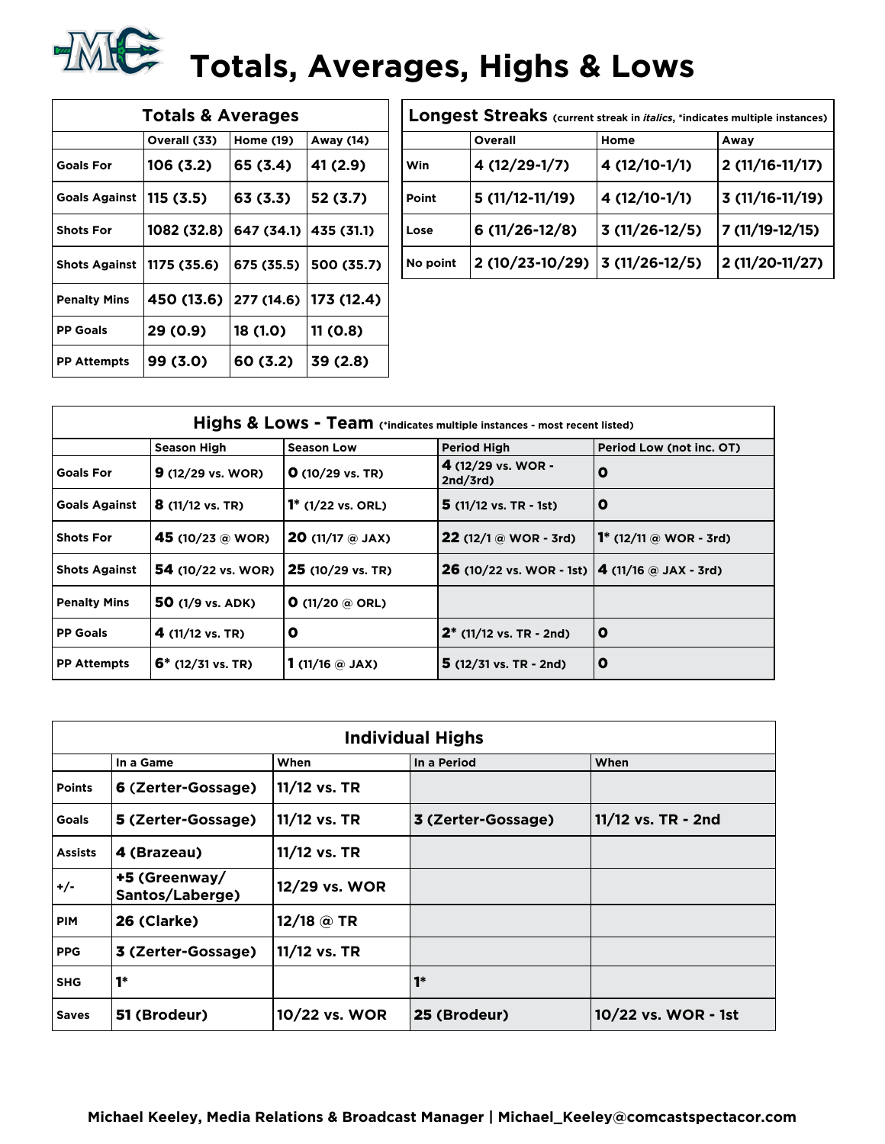## **TALE:** Totals, Averages, Highs & Lows

| <b>Totals &amp; Averages</b> |              |            |            |  |  |  |  |  |  |  |
|------------------------------|--------------|------------|------------|--|--|--|--|--|--|--|
|                              | Overall (33) | Home (19)  | Away (14)  |  |  |  |  |  |  |  |
| <b>Goals For</b>             | 106(3.2)     | 65 (3.4)   | 41 (2.9)   |  |  |  |  |  |  |  |
| <b>Goals Against</b>         | 115(3.5)     | 63 (3.3)   | 52 (3.7)   |  |  |  |  |  |  |  |
| <b>Shots For</b>             | 1082 (32.8)  | 647 (34.1) | 435 (31.1) |  |  |  |  |  |  |  |
| <b>Shots Against</b>         | 1175 (35.6)  | 675 (35.5) | 500 (35.7) |  |  |  |  |  |  |  |
| <b>Penalty Mins</b>          | 450 (13.6)   | 277 (14.6) | 173 (12.4) |  |  |  |  |  |  |  |
| <b>PP Goals</b>              | 29 (0.9)     | 18 (1.0)   | 11 (0.8)   |  |  |  |  |  |  |  |
| <b>PP Attempts</b>           | 99 (3.0)     | 60 (3.2)   | 39 (2.8)   |  |  |  |  |  |  |  |

| Longest Streaks (current streak in <i>italics</i> , *indicates multiple instances) |                  |                 |                  |  |  |  |  |  |  |
|------------------------------------------------------------------------------------|------------------|-----------------|------------------|--|--|--|--|--|--|
|                                                                                    | Overall          | Home            | Away             |  |  |  |  |  |  |
| Win                                                                                | 4 (12/29-1/7)    | 4 (12/10-1/1)   | $2(11/16-11/17)$ |  |  |  |  |  |  |
| Point                                                                              | $5(11/12-11/19)$ | 4 (12/10-1/1)   | $3(11/16-11/19)$ |  |  |  |  |  |  |
| Lose                                                                               | $6(11/26-12/8)$  | $3(11/26-12/5)$ | 7 (11/19-12/15)  |  |  |  |  |  |  |
| No point                                                                           | 2 (10/23-10/29)  | $3(11/26-12/5)$ | 2 (11/20-11/27)  |  |  |  |  |  |  |

|                      | Highs & Lows - Team (*indicates multiple instances - most recent listed) |                              |                                                                   |                                          |  |  |  |  |  |  |
|----------------------|--------------------------------------------------------------------------|------------------------------|-------------------------------------------------------------------|------------------------------------------|--|--|--|--|--|--|
|                      | <b>Season High</b>                                                       | <b>Season Low</b>            | <b>Period High</b>                                                | Period Low (not inc. OT)                 |  |  |  |  |  |  |
| <b>Goals For</b>     | $9(12/29 \text{ vs. } WOR)$                                              | $O(10/29 \text{ vs. TR})$    | 4 $(12/29 \text{ vs. } WOR -$<br>2nd/3rd                          | 0                                        |  |  |  |  |  |  |
| <b>Goals Against</b> | $8(11/12 \text{ vs. TR})$                                                | $1^*$ (1/22 vs. ORL)         | $5(11/12 \text{ vs. TR } -1st)$                                   | o                                        |  |  |  |  |  |  |
| <b>Shots For</b>     | 45 (10/23 @ WOR)                                                         | <b>20</b> (11/17 $@$ JAX)    | $22(12/1@WOR - 3rd)$                                              | <b>1</b> * $(12/11 \text{ @ WOR - 3rd})$ |  |  |  |  |  |  |
| <b>Shots Against</b> | <b>54</b> (10/22 vs. WOR)                                                | 25 (10/29 vs. TR)            | <b>26</b> (10/22 vs. WOR - 1st) $ 4 (11/16 \text{ @ } JAX - 3rd)$ |                                          |  |  |  |  |  |  |
| <b>Penalty Mins</b>  | 50 (1/9 vs. ADK)                                                         | <b>O</b> (11/20 $@$ ORL)     |                                                                   |                                          |  |  |  |  |  |  |
| <b>PP Goals</b>      | 4 $(11/12 \text{ vs. TR})$                                               | O                            | $2^*$ (11/12 vs. TR - 2nd)                                        | $\mathbf 0$                              |  |  |  |  |  |  |
| <b>PP Attempts</b>   | $6*$ (12/31 vs. TR)                                                      | 1 (11/16 $\circledcirc$ JAX) | $5(12/31 \text{ vs. TR} - 2nd)$                                   | o                                        |  |  |  |  |  |  |

|                | <b>Individual Highs</b>                  |               |                    |                     |  |  |  |  |  |  |  |
|----------------|------------------------------------------|---------------|--------------------|---------------------|--|--|--|--|--|--|--|
|                | When<br>In a Period<br>When<br>In a Game |               |                    |                     |  |  |  |  |  |  |  |
| <b>Points</b>  | 6 (Zerter-Gossage)                       | 11/12 vs. TR  |                    |                     |  |  |  |  |  |  |  |
| <b>Goals</b>   | 5 (Zerter-Gossage)                       | 11/12 vs. TR  | 3 (Zerter-Gossage) | 11/12 vs. TR - 2nd  |  |  |  |  |  |  |  |
| <b>Assists</b> | 4 (Brazeau)                              | 11/12 vs. TR  |                    |                     |  |  |  |  |  |  |  |
| $+/-$          | +5 (Greenway/<br>Santos/Laberge)         | 12/29 vs. WOR |                    |                     |  |  |  |  |  |  |  |
| <b>PIM</b>     | 26 (Clarke)                              | 12/18 @ TR    |                    |                     |  |  |  |  |  |  |  |
| <b>PPG</b>     | 3 (Zerter-Gossage)                       | 11/12 vs. TR  |                    |                     |  |  |  |  |  |  |  |
| <b>SHG</b>     | $1*$                                     |               | $1*$               |                     |  |  |  |  |  |  |  |
| <b>Saves</b>   | 51 (Brodeur)                             | 10/22 vs. WOR | 25 (Brodeur)       | 10/22 vs. WOR - 1st |  |  |  |  |  |  |  |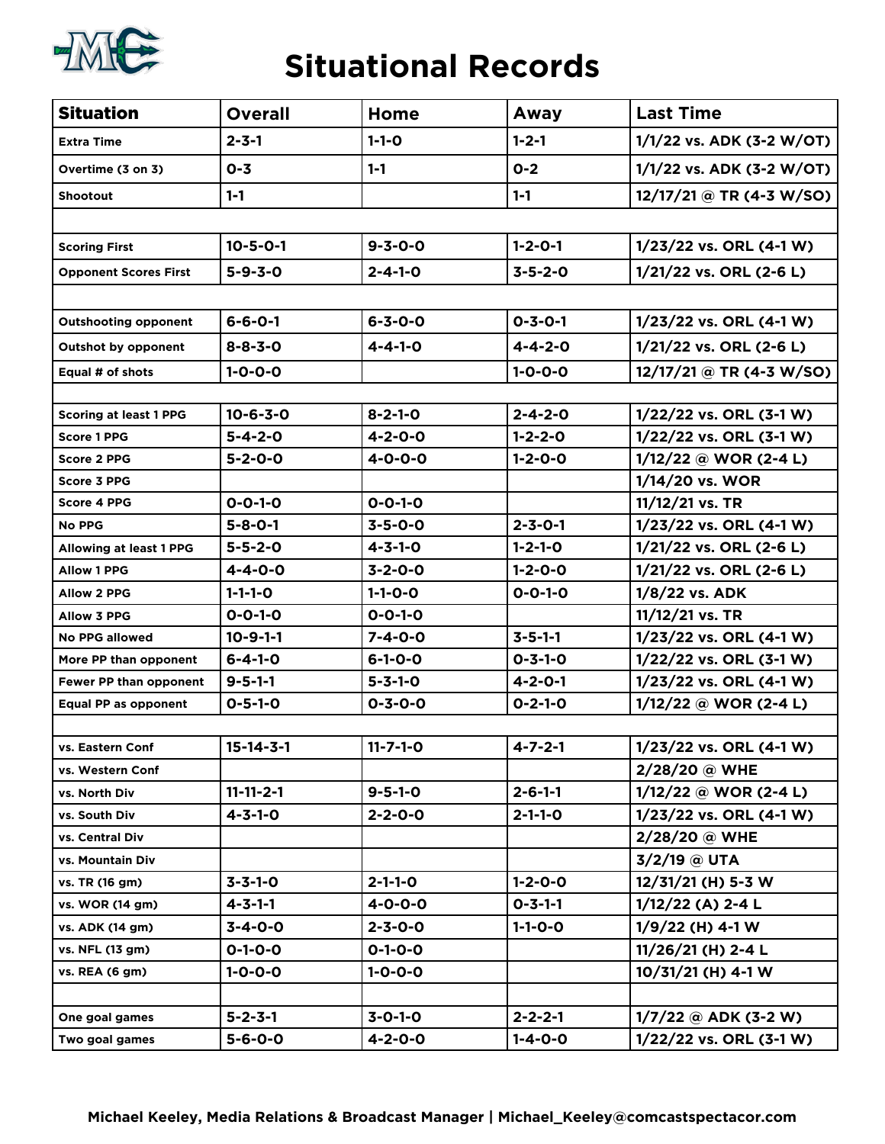

#### **Situational Records**

| <b>Situation</b>               | <b>Overall</b>    | Home             | Away            | <b>Last Time</b>           |
|--------------------------------|-------------------|------------------|-----------------|----------------------------|
| <b>Extra Time</b>              | $2 - 3 - 1$       | $1 - 1 - 0$      | $1 - 2 - 1$     | 1/1/22 vs. ADK (3-2 W/OT)  |
| Overtime (3 on 3)              | $0 - 3$           | $1 - 1$          | $O-2$           | 1/1/22 vs. ADK (3-2 W/OT)  |
| <b>Shootout</b>                | $1 - 1$           |                  | $1 - 1$         | $12/17/21$ @ TR (4-3 W/SO) |
|                                |                   |                  |                 |                            |
| <b>Scoring First</b>           | $10 - 5 - 0 - 1$  | $9 - 3 - 0 - 0$  | $1 - 2 - 0 - 1$ | 1/23/22 vs. ORL (4-1 W)    |
| <b>Opponent Scores First</b>   | $5 - 9 - 3 - 0$   | $2 - 4 - 1 - 0$  | $3 - 5 - 2 - 0$ | 1/21/22 vs. ORL (2-6 L)    |
|                                |                   |                  |                 |                            |
| <b>Outshooting opponent</b>    | $6 - 6 - 0 - 1$   | $6 - 3 - 0 - 0$  | $0 - 3 - 0 - 1$ | 1/23/22 vs. ORL (4-1 W)    |
| <b>Outshot by opponent</b>     | $8 - 8 - 3 - 0$   | $4 - 4 - 1 - 0$  | $4 - 4 - 2 - 0$ | 1/21/22 vs. ORL (2-6 L)    |
| Equal # of shots               | $1 - 0 - 0 - 0$   |                  | $1 - 0 - 0 - 0$ | 12/17/21 @ TR (4-3 W/SO)   |
|                                |                   |                  |                 |                            |
| <b>Scoring at least 1 PPG</b>  | $10 - 6 - 3 - 0$  | $8 - 2 - 1 - 0$  | $2 - 4 - 2 - 0$ | 1/22/22 vs. ORL (3-1 W)    |
| <b>Score 1 PPG</b>             | $5 - 4 - 2 - 0$   | $4 - 2 - 0 - 0$  | $1 - 2 - 2 - 0$ | 1/22/22 vs. ORL (3-1 W)    |
| <b>Score 2 PPG</b>             | $5 - 2 - 0 - 0$   | $4 - 0 - 0 - 0$  | $1 - 2 - 0 - 0$ | $1/12/22$ @ WOR (2-4 L)    |
| <b>Score 3 PPG</b>             |                   |                  |                 | 1/14/20 vs. WOR            |
| <b>Score 4 PPG</b>             | $0 - 0 - 1 - 0$   | $0 - 0 - 1 - 0$  |                 | $11/12/21$ vs. TR          |
| <b>No PPG</b>                  | $5 - 8 - 0 - 1$   | $3 - 5 - 0 - 0$  | $2 - 3 - 0 - 1$ | 1/23/22 vs. ORL (4-1 W)    |
| <b>Allowing at least 1 PPG</b> | $5 - 5 - 2 - 0$   | $4 - 3 - 1 - 0$  | $1 - 2 - 1 - 0$ | 1/21/22 vs. ORL (2-6 L)    |
| <b>Allow 1 PPG</b>             | $4 - 4 - 0 - 0$   | $3 - 2 - 0 - 0$  | $1 - 2 - 0 - 0$ | 1/21/22 vs. ORL (2-6 L)    |
| <b>Allow 2 PPG</b>             | $1 - 1 - 1 - 0$   | $1 - 1 - 0 - 0$  | $0 - 0 - 1 - 0$ | 1/8/22 vs. ADK             |
| <b>Allow 3 PPG</b>             | $0 - 0 - 1 - 0$   | $0 - 0 - 1 - 0$  |                 | 11/12/21 vs. TR            |
| <b>No PPG allowed</b>          | $10 - 9 - 1 - 1$  | $7 - 4 - 0 - 0$  | $3 - 5 - 1 - 1$ | 1/23/22 vs. ORL (4-1 W)    |
| More PP than opponent          | $6 - 4 - 1 - 0$   | $6 - 1 - 0 - 0$  | $0 - 3 - 1 - 0$ | 1/22/22 vs. ORL (3-1 W)    |
| Fewer PP than opponent         | $9 - 5 - 1 - 1$   | $5 - 3 - 1 - 0$  | $4 - 2 - 0 - 1$ | 1/23/22 vs. ORL (4-1 W)    |
| Equal PP as opponent           | $0 - 5 - 1 - 0$   | $0 - 3 - 0 - 0$  | $0 - 2 - 1 - 0$ | 1/12/22 @ WOR (2-4 L)      |
|                                |                   |                  |                 |                            |
| vs. Eastern Conf               | $15 - 14 - 3 - 1$ | $11 - 7 - 1 - 0$ | $4 - 7 - 2 - 1$ | 1/23/22 vs. ORL (4-1 W)    |
| vs. Western Conf               |                   |                  |                 | 2/28/20 @ WHE              |
| vs. North Div                  | $11 - 11 - 2 - 1$ | $9 - 5 - 1 - 0$  | $2 - 6 - 1 - 1$ | $1/12/22$ @ WOR (2-4 L)    |
| vs. South Div                  | $4 - 3 - 1 - 0$   | $2 - 2 - 0 - 0$  | $2 - 1 - 1 - 0$ | 1/23/22 vs. ORL (4-1 W)    |
| vs. Central Div                |                   |                  |                 | 2/28/20 @ WHE              |
| vs. Mountain Div               |                   |                  |                 | $3/2/19$ @ UTA             |
| vs. TR (16 gm)                 | $3 - 3 - 1 - 0$   | $2 - 1 - 1 - 0$  | $1 - 2 - 0 - 0$ | 12/31/21 (H) 5-3 W         |
| vs. WOR (14 gm)                | $4 - 3 - 1 - 1$   | $4 - 0 - 0 - 0$  | $0 - 3 - 1 - 1$ | $1/12/22$ (A) 2-4 L        |
| vs. ADK (14 gm)                | $3 - 4 - 0 - 0$   | $2 - 3 - 0 - 0$  | $1 - 1 - 0 - 0$ | $1/9/22$ (H) 4-1 W         |
| vs. NFL (13 gm)                | $0 - 1 - 0 - 0$   | $0 - 1 - 0 - 0$  |                 | 11/26/21 (H) 2-4 L         |
| vs. REA (6 gm)                 | $1 - 0 - 0 - 0$   | $1 - 0 - 0 - 0$  |                 | 10/31/21 (H) 4-1 W         |
|                                |                   |                  |                 |                            |
| One goal games                 | $5 - 2 - 3 - 1$   | $3 - 0 - 1 - 0$  | $2 - 2 - 2 - 1$ | $1/7/22$ @ ADK (3-2 W)     |
| Two goal games                 | $5 - 6 - 0 - 0$   | $4 - 2 - 0 - 0$  | $1 - 4 - 0 - 0$ | 1/22/22 vs. ORL (3-1 W)    |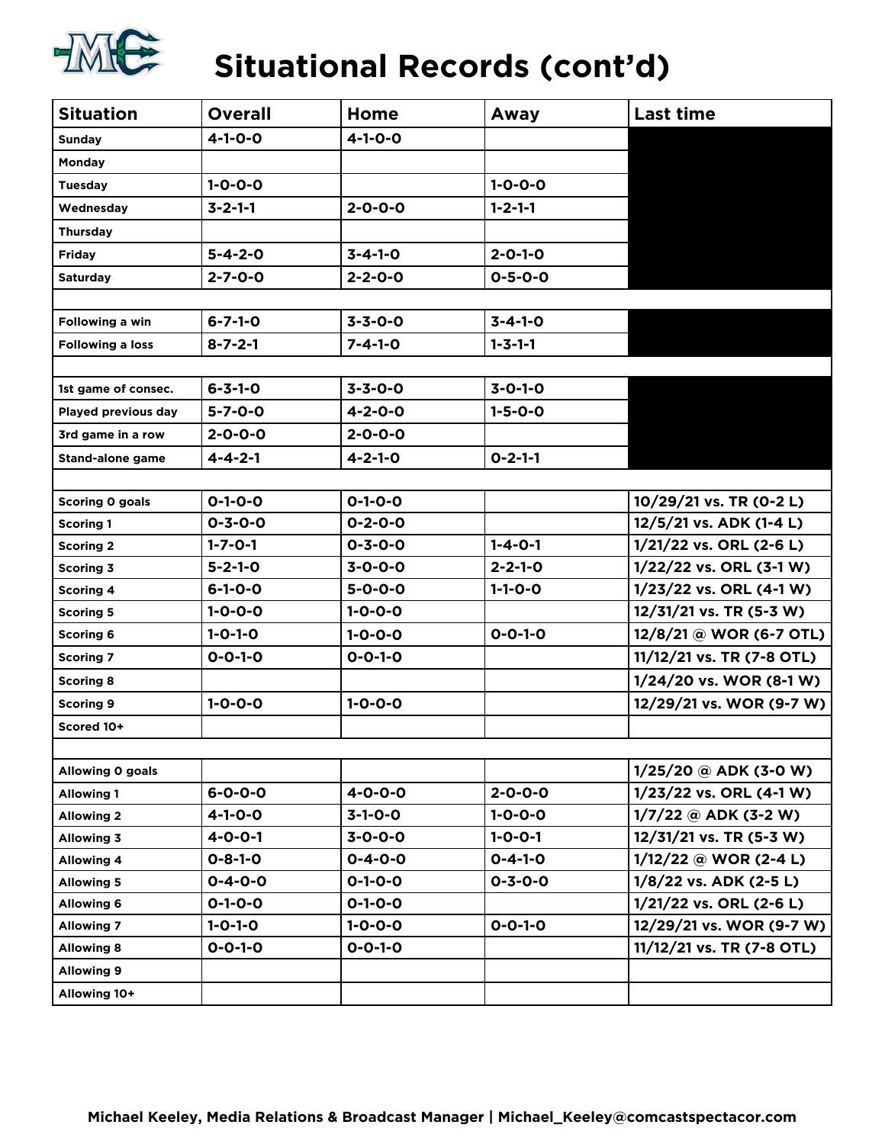

### **Situational Records (cont'd)**

| <b>Situation</b>        | <b>Overall</b>  | Home            | Away            | <b>Last time</b>          |
|-------------------------|-----------------|-----------------|-----------------|---------------------------|
| <b>Sunday</b>           | $4 - 1 - 0 - 0$ | $4 - 1 - 0 - 0$ |                 |                           |
| Monday                  |                 |                 |                 |                           |
| <b>Tuesday</b>          | $1 - 0 - 0 - 0$ |                 | $1 - 0 - 0 - 0$ |                           |
| Wednesday               | $3 - 2 - 1 - 1$ | $2 - 0 - 0 - 0$ | $1 - 2 - 1 - 1$ |                           |
| <b>Thursday</b>         |                 |                 |                 |                           |
| <b>Friday</b>           | $5 - 4 - 2 - 0$ | $3 - 4 - 1 - 0$ | $2 - 0 - 1 - 0$ |                           |
| <b>Saturday</b>         | $2 - 7 - 0 - 0$ | $2 - 2 - 0 - 0$ | $0 - 5 - 0 - 0$ |                           |
|                         |                 |                 |                 |                           |
| Following a win         | $6 - 7 - 1 - 0$ | $3 - 3 - 0 - 0$ | $3 - 4 - 1 - 0$ |                           |
| <b>Following a loss</b> | $8 - 7 - 2 - 1$ | $7 - 4 - 1 - 0$ | $1 - 3 - 1 - 1$ |                           |
|                         |                 |                 |                 |                           |
| 1st game of consec.     | $6 - 3 - 1 - 0$ | $3 - 3 - 0 - 0$ | $3 - 0 - 1 - 0$ |                           |
| Played previous day     | $5 - 7 - 0 - 0$ | $4 - 2 - 0 - 0$ | $1 - 5 - 0 - 0$ |                           |
| 3rd game in a row       | $2 - 0 - 0 - 0$ | $2 - 0 - 0 - 0$ |                 |                           |
| <b>Stand-alone game</b> | $4 - 4 - 2 - 1$ | $4 - 2 - 1 - 0$ | $0 - 2 - 1 - 1$ |                           |
|                         |                 |                 |                 |                           |
| Scoring 0 goals         | $0 - 1 - 0 - 0$ | $0 - 1 - 0 - 0$ |                 | 10/29/21 vs. TR (0-2 L)   |
| <b>Scoring 1</b>        | $0 - 3 - 0 - 0$ | $0 - 2 - 0 - 0$ |                 | 12/5/21 vs. ADK (1-4 L)   |
| <b>Scoring 2</b>        | $1 - 7 - 0 - 1$ | $0 - 3 - 0 - 0$ | $1 - 4 - 0 - 1$ | 1/21/22 vs. ORL (2-6 L)   |
| Scoring 3               | $5 - 2 - 1 - 0$ | $3 - 0 - 0 - 0$ | $2 - 2 - 1 - 0$ | 1/22/22 vs. ORL (3-1 W)   |
| <b>Scoring 4</b>        | $6 - 1 - 0 - 0$ | $5 - 0 - 0 - 0$ | $1 - 1 - 0 - 0$ | 1/23/22 vs. ORL (4-1 W)   |
| <b>Scoring 5</b>        | $1 - 0 - 0 - 0$ | $1 - 0 - 0 - 0$ |                 | 12/31/21 vs. TR (5-3 W)   |
| <b>Scoring 6</b>        | $1 - 0 - 1 - 0$ | $1 - 0 - 0 - 0$ | $0 - 0 - 1 - 0$ | 12/8/21 @ WOR (6-7 OTL)   |
| <b>Scoring 7</b>        | $0 - 0 - 1 - 0$ | $0 - 0 - 1 - 0$ |                 | 11/12/21 vs. TR (7-8 OTL) |
| <b>Scoring 8</b>        |                 |                 |                 | 1/24/20 vs. WOR (8-1 W)   |
| <b>Scoring 9</b>        | $1 - 0 - 0 - 0$ | $1 - 0 - 0 - 0$ |                 | 12/29/21 vs. WOR (9-7 W)  |
| Scored 10+              |                 |                 |                 |                           |
|                         |                 |                 |                 |                           |
| Allowing O goals        |                 |                 |                 | $1/25/20$ @ ADK (3-0 W)   |
| <b>Allowing 1</b>       | $6 - 0 - 0 - 0$ | $4 - 0 - 0 - 0$ | $2 - 0 - 0 - 0$ | 1/23/22 vs. ORL (4-1 W)   |
| <b>Allowing 2</b>       | $4 - 1 - 0 - 0$ | $3-1-0-0$       | $1 - 0 - 0 - 0$ | $1/7/22$ @ ADK (3-2 W)    |
| <b>Allowing 3</b>       | $4 - 0 - 0 - 1$ | $3 - 0 - 0 - 0$ | $1 - 0 - 0 - 1$ | 12/31/21 vs. TR (5-3 W)   |
| <b>Allowing 4</b>       | $0 - 8 - 1 - 0$ | $0 - 4 - 0 - 0$ | $0 - 4 - 1 - 0$ | $1/12/22$ @ WOR (2-4 L)   |
| <b>Allowing 5</b>       | $0 - 4 - 0 - 0$ | $0 - 1 - 0 - 0$ | $0 - 3 - 0 - 0$ | 1/8/22 vs. ADK (2-5 L)    |
| <b>Allowing 6</b>       | $0 - 1 - 0 - 0$ | $0 - 1 - 0 - 0$ |                 | 1/21/22 vs. ORL (2-6 L)   |
| <b>Allowing 7</b>       | $1 - 0 - 1 - 0$ | $1 - 0 - 0 - 0$ | $0 - 0 - 1 - 0$ | 12/29/21 vs. WOR (9-7 W)  |
| <b>Allowing 8</b>       | $0 - 0 - 1 - 0$ | $0 - 0 - 1 - 0$ |                 | 11/12/21 vs. TR (7-8 OTL) |
| <b>Allowing 9</b>       |                 |                 |                 |                           |
| Allowing 10+            |                 |                 |                 |                           |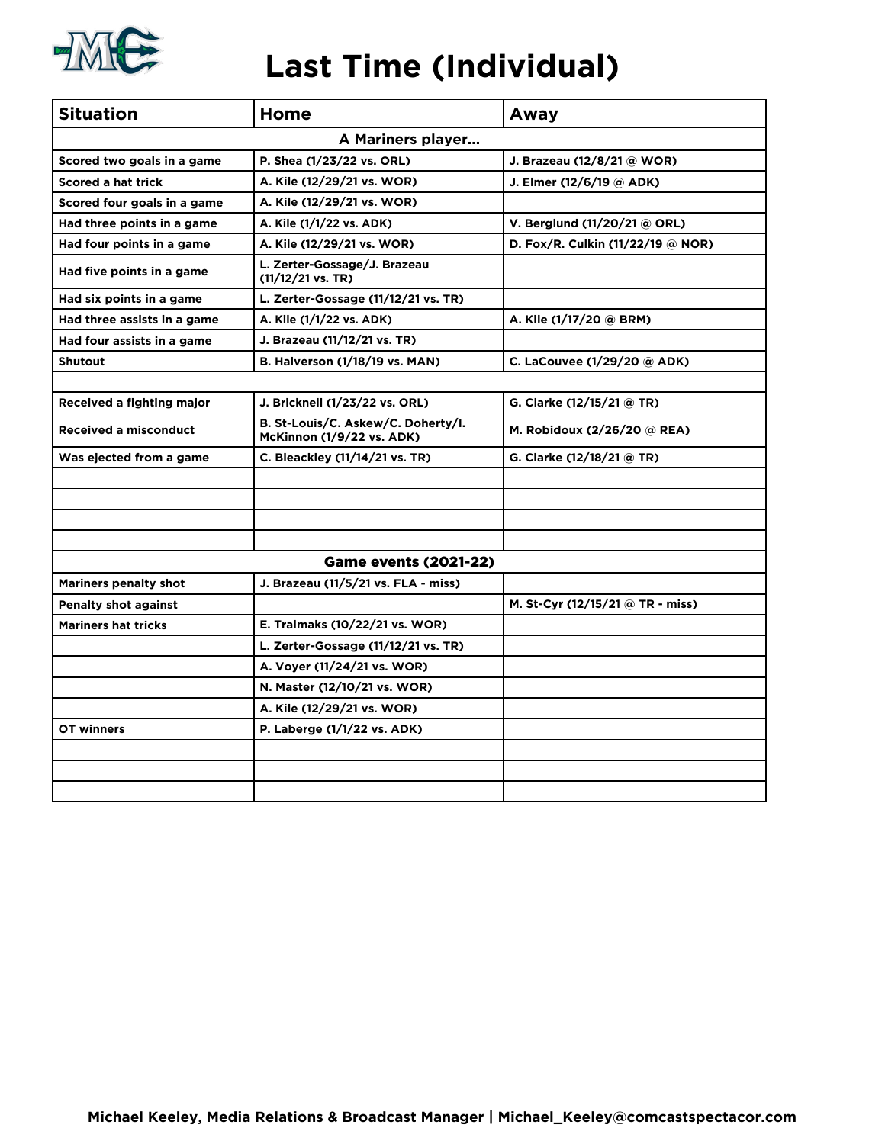

#### **Last Time (Individual)**

| <b>Situation</b>             | Home                                                            | Away                              |  |  |  |  |  |  |  |
|------------------------------|-----------------------------------------------------------------|-----------------------------------|--|--|--|--|--|--|--|
| A Mariners player            |                                                                 |                                   |  |  |  |  |  |  |  |
| Scored two goals in a game   | P. Shea (1/23/22 vs. ORL)                                       | J. Brazeau (12/8/21 @ WOR)        |  |  |  |  |  |  |  |
| Scored a hat trick           | A. Kile (12/29/21 vs. WOR)                                      | J. Elmer (12/6/19 @ ADK)          |  |  |  |  |  |  |  |
| Scored four goals in a game  | A. Kile (12/29/21 vs. WOR)                                      |                                   |  |  |  |  |  |  |  |
| Had three points in a game   | A. Kile (1/1/22 vs. ADK)                                        | V. Berglund (11/20/21 @ ORL)      |  |  |  |  |  |  |  |
| Had four points in a game    | A. Kile (12/29/21 vs. WOR)                                      | D. Fox/R. Culkin (11/22/19 @ NOR) |  |  |  |  |  |  |  |
| Had five points in a game    | L. Zerter-Gossage/J. Brazeau<br>(11/12/21 vs. TR)               |                                   |  |  |  |  |  |  |  |
| Had six points in a game     | L. Zerter-Gossage (11/12/21 vs. TR)                             |                                   |  |  |  |  |  |  |  |
| Had three assists in a game  | A. Kile (1/1/22 vs. ADK)                                        | A. Kile (1/17/20 @ BRM)           |  |  |  |  |  |  |  |
| Had four assists in a game   | J. Brazeau (11/12/21 vs. TR)                                    |                                   |  |  |  |  |  |  |  |
| <b>Shutout</b>               | <b>B. Halverson (1/18/19 vs. MAN)</b>                           | C. LaCouvee (1/29/20 @ ADK)       |  |  |  |  |  |  |  |
|                              |                                                                 |                                   |  |  |  |  |  |  |  |
| Received a fighting major    | J. Bricknell (1/23/22 vs. ORL)                                  | G. Clarke (12/15/21 @ TR)         |  |  |  |  |  |  |  |
| <b>Received a misconduct</b> | B. St-Louis/C. Askew/C. Doherty/I.<br>McKinnon (1/9/22 vs. ADK) | M. Robidoux (2/26/20 @ REA)       |  |  |  |  |  |  |  |
| Was ejected from a game      | C. Bleackley (11/14/21 vs. TR)                                  | G. Clarke (12/18/21 @ TR)         |  |  |  |  |  |  |  |
|                              |                                                                 |                                   |  |  |  |  |  |  |  |
|                              |                                                                 |                                   |  |  |  |  |  |  |  |
|                              |                                                                 |                                   |  |  |  |  |  |  |  |
|                              |                                                                 |                                   |  |  |  |  |  |  |  |
|                              | <b>Game events (2021-22)</b>                                    |                                   |  |  |  |  |  |  |  |
| <b>Mariners penalty shot</b> | J. Brazeau (11/5/21 vs. FLA - miss)                             |                                   |  |  |  |  |  |  |  |
| <b>Penalty shot against</b>  |                                                                 | M. St-Cyr (12/15/21 @ TR - miss)  |  |  |  |  |  |  |  |
| <b>Mariners hat tricks</b>   | E. Tralmaks (10/22/21 vs. WOR)                                  |                                   |  |  |  |  |  |  |  |
|                              | L. Zerter-Gossage (11/12/21 vs. TR)                             |                                   |  |  |  |  |  |  |  |
|                              | A. Voyer (11/24/21 vs. WOR)                                     |                                   |  |  |  |  |  |  |  |
|                              | N. Master (12/10/21 vs. WOR)                                    |                                   |  |  |  |  |  |  |  |
|                              | A. Kile (12/29/21 vs. WOR)                                      |                                   |  |  |  |  |  |  |  |
| OT winners                   | P. Laberge (1/1/22 vs. ADK)                                     |                                   |  |  |  |  |  |  |  |
|                              |                                                                 |                                   |  |  |  |  |  |  |  |
|                              |                                                                 |                                   |  |  |  |  |  |  |  |
|                              |                                                                 |                                   |  |  |  |  |  |  |  |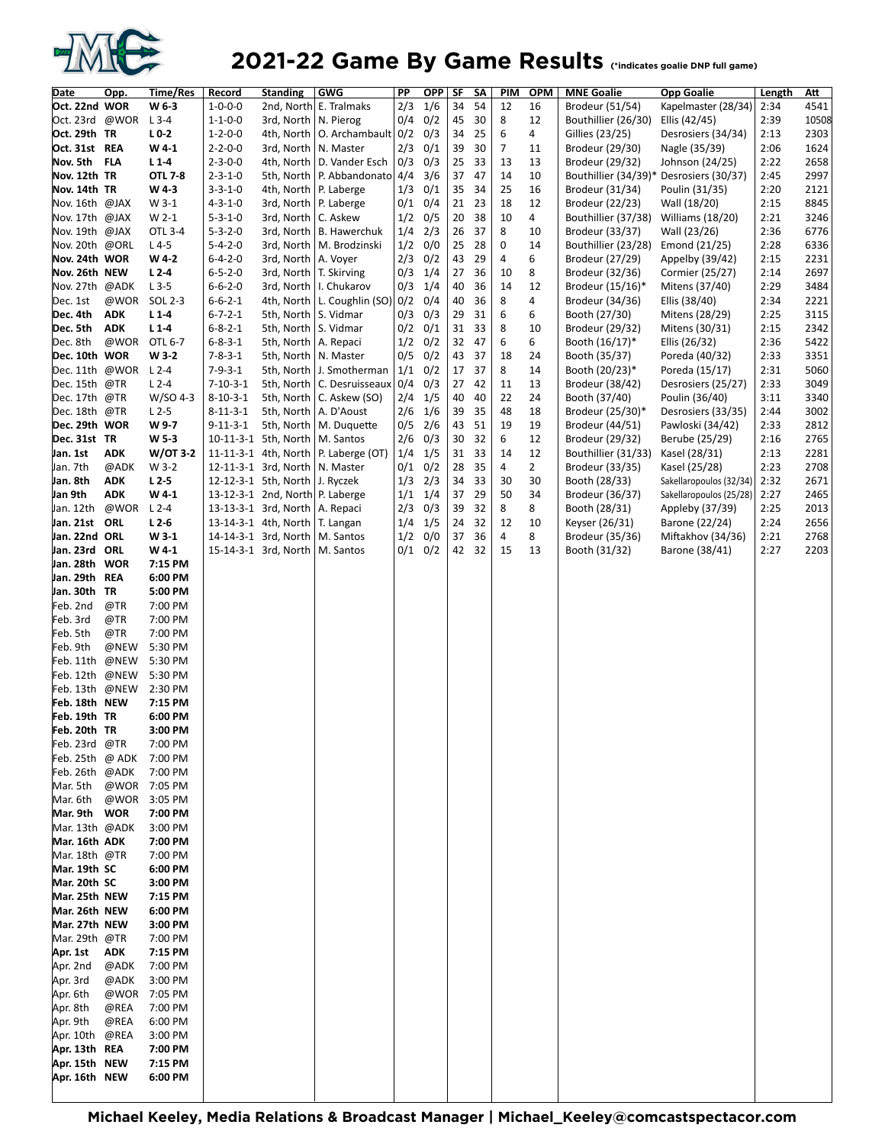

#### **2021-22 Game By Game Results** Cindicates goalie DNP full game)

| Date                            | Opp.                     | Time/Res           | Record                             | <b>Standing</b>                                                   | <b>GWG</b>                             | PP         | <b>OPP</b>  | SF       | SΑ       | PIM            | <b>OPM</b>     | <b>MNE Goalie</b>                   | <b>Opp Goalie</b>                          | Length       | Att          |
|---------------------------------|--------------------------|--------------------|------------------------------------|-------------------------------------------------------------------|----------------------------------------|------------|-------------|----------|----------|----------------|----------------|-------------------------------------|--------------------------------------------|--------------|--------------|
| Oct. 22nd WOR                   |                          | W 6-3              | $1 - 0 - 0 - 0$                    |                                                                   | 2nd, North E. Tralmaks                 | 2/3        | 1/6         | 34       | 54       | 12             | 16             | Brodeur (51/54)                     | Kapelmaster (28/34)                        | 2:34         | 4541         |
| Oct. 23rd @WOR                  |                          | $L$ 3-4            | $1 - 1 - 0 - 0$                    | 3rd, North   N. Pierog                                            |                                        | 0/4        | 0/2         | 45       | 30       | 8              | 12             | Bouthillier (26/30)                 | Ellis (42/45)                              | 2:39         | 10508        |
| Oct. 29th TR                    |                          | $L0-2$             | $1 - 2 - 0 - 0$                    |                                                                   | 4th, North   O. Archambault   0/2      |            | 0/3         | 34       | 25       | 6              | 4              | Gillies (23/25)                     | Desrosiers (34/34)                         | 2:13         | 2303         |
| Oct. 31st REA                   |                          | W41                | $2 - 2 - 0 - 0$                    | 3rd, North   N. Master                                            |                                        | 2/3        | 0/1         | 39       | 30       | $\overline{7}$ | 11             | Brodeur (29/30)                     | Nagle (35/39)                              | 2:06         | 1624         |
| Nov. 5th                        | <b>FLA</b>               | $L1-4$             | $2 - 3 - 0 - 0$                    |                                                                   | 4th, North   D. Vander Esch            | 0/3        | 0/3         | 25       | 33       | 13             | 13             | Brodeur (29/32)                     | Johnson (24/25)                            | 2:22         | 2658         |
| Nov. 12th TR                    |                          | <b>OTL 7-8</b>     | $2 - 3 - 1 - 0$                    |                                                                   | 5th, North   P. Abbandonato 4/4        |            | 3/6         | 37       | 47       | 14             | 10             |                                     | Bouthillier (34/39)* Desrosiers (30/37)    | 2:45         | 2997         |
| Nov. 14th TR                    |                          | W4-3               | $3 - 3 - 1 - 0$                    | 4th, North   P. Laberge                                           |                                        | 1/3        | 0/1         | 35       | 34       | 25             | 16             | Brodeur (31/34)                     | Poulin (31/35)                             | 2:20         | 2121         |
| Nov. 16th @JAX                  |                          | W 3-1              | $4 - 3 - 1 - 0$                    | 3rd, North   P. Laberge                                           |                                        | 0/1        | 0/4         | 21       | 23       | 18             | 12             | Brodeur (22/23)                     | Wall (18/20)                               | 2:15         | 8845         |
| Nov. 17th @JAX                  |                          | W 2-1              | $5 - 3 - 1 - 0$                    | 3rd, North   C. Askew                                             |                                        | 1/2        | 0/5         | 20       | 38       | 10             | 4              | Bouthillier (37/38)                 | Williams (18/20)                           | 2:21         | 3246         |
| Nov. 19th @JAX                  |                          | OTL 3-4            | $5 - 3 - 2 - 0$                    |                                                                   | 3rd, North   B. Hawerchuk              | 1/4        | 2/3         | 26       | 37       | 8              | 10             | Brodeur (33/37)                     | Wall (23/26)                               | 2:36         | 6776         |
| Nov. 20th @ORL                  |                          | $L4-5$             | $5 - 4 - 2 - 0$                    |                                                                   | 3rd, North   M. Brodzinski             | 1/2        | 0/0         | 25       | 28       | 0              | 14             | Bouthillier (23/28)                 | Emond (21/25)                              | 2:28         | 6336         |
| Nov. 24th WOR                   |                          | W 4-2              | $6 - 4 - 2 - 0$                    | 3rd, North   A. Voyer                                             |                                        | 2/3        | 0/2         | 43       | 29       | 4              | 6              | Brodeur (27/29)                     | Appelby (39/42)                            | 2:15         | 2231         |
| Nov. 26th NEW<br>Nov. 27th @ADK |                          | $L2-4$<br>$L$ 3-5  | $6 - 5 - 2 - 0$<br>$6 - 6 - 2 - 0$ | 3rd, North   T. Skirving                                          | 3rd, North   I. Chukarov               | 0/3<br>0/3 | 1/4<br>1/4  | 27<br>40 | 36<br>36 | 10<br>14       | 8<br>12        | Brodeur (32/36)                     | Cormier (25/27)                            | 2:14<br>2:29 | 2697<br>3484 |
| Dec. 1st                        | @WOR                     | SOL 2-3            | $6 - 6 - 2 - 1$                    |                                                                   | 4th, North   L. Coughlin (SO) 0/2      |            | 0/4         | 40       | 36       | 8              | 4              | Brodeur (15/16)*<br>Brodeur (34/36) | Mitens (37/40)<br>Ellis (38/40)            | 2:34         | 2221         |
| Dec. 4th                        | <b>ADK</b>               | $L1-4$             | $6 - 7 - 2 - 1$                    | 5th, North   S. Vidmar                                            |                                        | 0/3        | 0/3         | 29       | 31       | 6              | 6              | Booth (27/30)                       | Mitens (28/29)                             | 2:25         | 3115         |
| Dec. 5th                        | <b>ADK</b>               | $L1-4$             | $6 - 8 - 2 - 1$                    | 5th, North   S. Vidmar                                            |                                        | 0/2        | 0/1         | 31       | 33       | 8              | 10             | Brodeur (29/32)                     | Mitens (30/31)                             | 2:15         | 2342         |
| Dec. 8th                        | @WOR                     | OTL 6-7            | $6 - 8 - 3 - 1$                    | 5th, North   A. Repaci                                            |                                        | 1/2        | 0/2         | 32       | 47       | 6              | 6              | Booth (16/17)*                      | Ellis (26/32)                              | 2:36         | 5422         |
| Dec. 10th WOR                   |                          | $W3-2$             | $7 - 8 - 3 - 1$                    | 5th, North   N. Master                                            |                                        | 0/5        | 0/2         | 43       | 37       | 18             | 24             | Booth (35/37)                       | Poreda (40/32)                             | 2:33         | 3351         |
| Dec. 11th @WOR                  |                          | $L2-4$             | $7 - 9 - 3 - 1$                    |                                                                   | 5th, North   J. Smotherman             |            | $1/1$ 0/2   | 17       | 37       | 8              | 14             | Booth (20/23)*                      | Poreda (15/17)                             | 2:31         | 5060         |
| Dec. 15th @TR                   |                          | $L$ 2-4            | $7 - 10 - 3 - 1$                   |                                                                   | 5th, North   C. Desruisseaux           | 0/4        | 0/3         | 27       | 42       | 11             | 13             | Brodeur (38/42)                     | Desrosiers (25/27)                         | 2:33         | 3049         |
| Dec. 17th @TR                   |                          | W/SO 4-3           | $8 - 10 - 3 - 1$                   |                                                                   | 5th, North   C. Askew (SO)             | 2/4        | 1/5         | 40       | 40       | 22             | 24             | Booth (37/40)                       | Poulin (36/40)                             | 3:11         | 3340         |
| Dec. 18th @TR                   |                          | $L2-5$             | $8 - 11 - 3 - 1$                   |                                                                   | 5th, North   A. D'Aoust                | 2/6        | 1/6         | 39       | 35       | 48             | 18             | Brodeur (25/30)*                    | Desrosiers (33/35)                         | 2:44         | 3002         |
| Dec. 29th WOR                   |                          | W 9-7              | $9 - 11 - 3 - 1$                   |                                                                   | 5th, North   M. Duquette               | 0/5        | 2/6         | 43       | 51       | 19             | 19             | Brodeur (44/51)                     | Pawloski (34/42)                           | 2:33         | 2812         |
| Dec. 31st TR                    |                          | W <sub>5</sub> -3  |                                    | 10-11-3-1 5th, North   M. Santos                                  |                                        | 2/6        | 0/3         | 30       | 32       | 6              | 12             | Brodeur (29/32)                     | Berube (25/29)                             | 2:16         | 2765         |
| Jan. 1st                        | ADK                      | W/OT 3-2           |                                    |                                                                   | 11-11-3-1 4th, North   P. Laberge (OT) | 1/4        | 1/5         | 31       | 33       | 14             | 12             | Bouthillier (31/33)                 | Kasel (28/31)                              | 2:13         | 2281         |
| Jan. 7th                        | @ADK                     | W 3-2              |                                    | 12-11-3-1 3rd, North   N. Master                                  |                                        | 0/1        | 0/2         | 28       | 35       | 4              | $\overline{2}$ | Brodeur (33/35)                     | Kasel (25/28)                              | 2:23         | 2708         |
| Jan. 8th                        | <b>ADK</b><br><b>ADK</b> | $L2-5$             |                                    | 12-12-3-1 5th, North J. Ryczek<br>13-12-3-1 2nd, North P. Laberge |                                        | 1/3        | 2/3         | 34<br>37 | 33<br>29 | 30<br>50       | 30<br>34       | Booth (28/33)                       | Sakellaropoulos (32/34)                    | 2:32<br>2:27 | 2671<br>2465 |
| Jan 9th<br>Jan. 12th            | @WOR                     | W41<br>$L2-4$      |                                    | 13-13-3-1 3rd, North   A. Repaci                                  |                                        | 1/1<br>2/3 | 1/4<br>0/3  | 39       | 32       | 8              | 8              | Brodeur (36/37)<br>Booth (28/31)    | Sakellaropoulos (25/28)<br>Appleby (37/39) | 2:25         | 2013         |
| Jan. 21st ORL                   |                          | $L2-6$             |                                    | 13-14-3-1 4th, North   T. Langan                                  |                                        | 1/4        | 1/5         | 24       | 32       | 12             | 10             | Keyser (26/31)                      | Barone (22/24)                             | 2:24         | 2656         |
| Jan. 22nd ORL                   |                          | W 3-1              |                                    | 14-14-3-1 3rd, North   M. Santos                                  |                                        | 1/2        | 0/0         | 37       | 36       | 4              | 8              | Brodeur (35/36)                     | Miftakhov (34/36)                          | 2:21         | 2768         |
| Jan. 23rd ORL                   |                          | W4-1               |                                    | 15-14-3-1 3rd, North   M. Santos                                  |                                        |            | $0/1$ $0/2$ | 42       | 32       | 15             | 13             | Booth (31/32)                       | Barone (38/41)                             | 2:27         | 2203         |
| Jan. 28th WOR                   |                          | 7:15 PM            |                                    |                                                                   |                                        |            |             |          |          |                |                |                                     |                                            |              |              |
| Jan. 29th REA                   |                          | 6:00 PM            |                                    |                                                                   |                                        |            |             |          |          |                |                |                                     |                                            |              |              |
| Jan. 30th TR                    |                          | 5:00 PM            |                                    |                                                                   |                                        |            |             |          |          |                |                |                                     |                                            |              |              |
| Feb. 2nd                        | @TR                      | 7:00 PM            |                                    |                                                                   |                                        |            |             |          |          |                |                |                                     |                                            |              |              |
| Feb. 3rd                        | @TR                      | 7:00 PM            |                                    |                                                                   |                                        |            |             |          |          |                |                |                                     |                                            |              |              |
| Feb. 5th                        | @TR                      | 7:00 PM            |                                    |                                                                   |                                        |            |             |          |          |                |                |                                     |                                            |              |              |
| Feb. 9th                        | @NEW                     | 5:30 PM            |                                    |                                                                   |                                        |            |             |          |          |                |                |                                     |                                            |              |              |
| Feb. 11th                       | @NEW<br>@NEW             | 5:30 PM            |                                    |                                                                   |                                        |            |             |          |          |                |                |                                     |                                            |              |              |
| Feb. 12th<br>Feb. 13th          | @NEW                     | 5:30 PM<br>2:30 PM |                                    |                                                                   |                                        |            |             |          |          |                |                |                                     |                                            |              |              |
| Feb. 18th NEW                   |                          | 7:15 PM            |                                    |                                                                   |                                        |            |             |          |          |                |                |                                     |                                            |              |              |
| Feb. 19th TR                    |                          | 6:00 PM            |                                    |                                                                   |                                        |            |             |          |          |                |                |                                     |                                            |              |              |
| Feb. 20th TR                    |                          | 3:00 PM            |                                    |                                                                   |                                        |            |             |          |          |                |                |                                     |                                            |              |              |
| Feb. 23rd @TR                   |                          | 7:00 PM            |                                    |                                                                   |                                        |            |             |          |          |                |                |                                     |                                            |              |              |
| Feb. 25th                       | @ ADK                    | 7:00 PM            |                                    |                                                                   |                                        |            |             |          |          |                |                |                                     |                                            |              |              |
| Feb. 26th @ADK                  |                          | 7:00 PM            |                                    |                                                                   |                                        |            |             |          |          |                |                |                                     |                                            |              |              |
| Mar. 5th                        | @WOR                     | 7:05 PM            |                                    |                                                                   |                                        |            |             |          |          |                |                |                                     |                                            |              |              |
| Mar. 6th                        | @WOR                     | 3:05 PM            |                                    |                                                                   |                                        |            |             |          |          |                |                |                                     |                                            |              |              |
| Mar. 9th WOR                    |                          | 7:00 PM            |                                    |                                                                   |                                        |            |             |          |          |                |                |                                     |                                            |              |              |
| Mar. 13th @ADK                  |                          | 3:00 PM            |                                    |                                                                   |                                        |            |             |          |          |                |                |                                     |                                            |              |              |
| Mar. 16th ADK                   |                          | 7:00 PM            |                                    |                                                                   |                                        |            |             |          |          |                |                |                                     |                                            |              |              |
| Mar. 18th @TR                   |                          | 7:00 PM            |                                    |                                                                   |                                        |            |             |          |          |                |                |                                     |                                            |              |              |
| Mar. 19th SC<br>Mar. 20th SC    |                          | 6:00 PM<br>3:00 PM |                                    |                                                                   |                                        |            |             |          |          |                |                |                                     |                                            |              |              |
| Mar. 25th NEW                   |                          | 7:15 PM            |                                    |                                                                   |                                        |            |             |          |          |                |                |                                     |                                            |              |              |
| Mar. 26th NEW                   |                          | 6:00 PM            |                                    |                                                                   |                                        |            |             |          |          |                |                |                                     |                                            |              |              |
| Mar. 27th NEW                   |                          | 3:00 PM            |                                    |                                                                   |                                        |            |             |          |          |                |                |                                     |                                            |              |              |
| Mar. 29th @TR                   |                          | 7:00 PM            |                                    |                                                                   |                                        |            |             |          |          |                |                |                                     |                                            |              |              |
| Apr. 1st                        | ADK                      | 7:15 PM            |                                    |                                                                   |                                        |            |             |          |          |                |                |                                     |                                            |              |              |
| Apr. 2nd                        | @ADK                     | 7:00 PM            |                                    |                                                                   |                                        |            |             |          |          |                |                |                                     |                                            |              |              |
| Apr. 3rd                        | @ADK                     | 3:00 PM            |                                    |                                                                   |                                        |            |             |          |          |                |                |                                     |                                            |              |              |
| Apr. 6th                        | @WOR                     | 7:05 PM            |                                    |                                                                   |                                        |            |             |          |          |                |                |                                     |                                            |              |              |
| Apr. 8th                        | @REA                     | 7:00 PM            |                                    |                                                                   |                                        |            |             |          |          |                |                |                                     |                                            |              |              |
| Apr. 9th                        | @REA                     | 6:00 PM            |                                    |                                                                   |                                        |            |             |          |          |                |                |                                     |                                            |              |              |
| Apr. 10th                       | @REA                     | 3:00 PM            |                                    |                                                                   |                                        |            |             |          |          |                |                |                                     |                                            |              |              |
| Apr. 13th REA                   |                          | 7:00 PM            |                                    |                                                                   |                                        |            |             |          |          |                |                |                                     |                                            |              |              |
| Apr. 15th NEW                   |                          | 7:15 PM            |                                    |                                                                   |                                        |            |             |          |          |                |                |                                     |                                            |              |              |
| Apr. 16th NEW                   |                          | 6:00 PM            |                                    |                                                                   |                                        |            |             |          |          |                |                |                                     |                                            |              |              |
|                                 |                          |                    |                                    |                                                                   |                                        |            |             |          |          |                |                |                                     |                                            |              |              |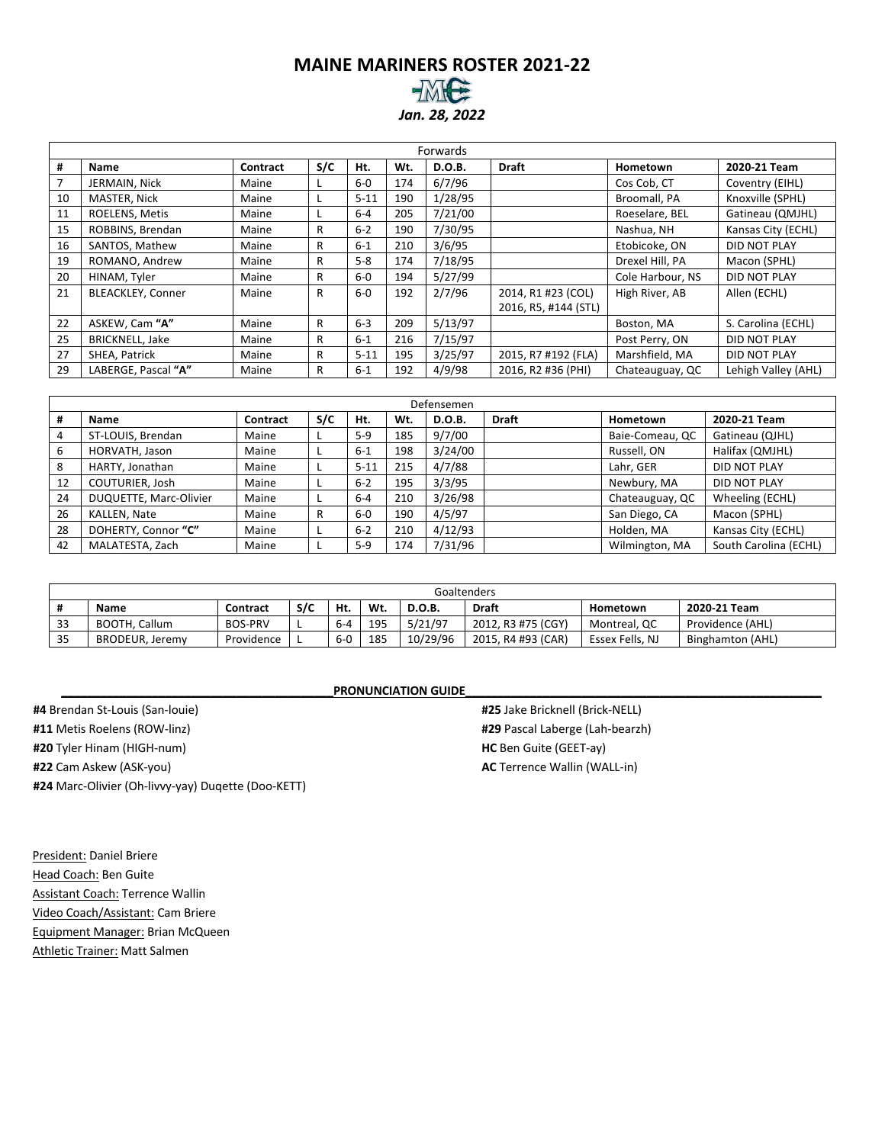#### **MAINE MARINERS ROSTER 2021-22** *Jan. 28, 2022*

|    | Forwards                 |          |     |          |     |         |                      |                  |                     |  |  |  |  |  |
|----|--------------------------|----------|-----|----------|-----|---------|----------------------|------------------|---------------------|--|--|--|--|--|
| #  | Name                     | Contract | S/C | Ht.      | Wt. | D.O.B.  | <b>Draft</b>         | Hometown         | 2020-21 Team        |  |  |  |  |  |
| 7  | JERMAIN, Nick            | Maine    |     | $6-0$    | 174 | 6/7/96  |                      | Cos Cob. CT      | Coventry (EIHL)     |  |  |  |  |  |
| 10 | MASTER, Nick             | Maine    |     | $5 - 11$ | 190 | 1/28/95 |                      | Broomall, PA     | Knoxville (SPHL)    |  |  |  |  |  |
| 11 | ROELENS, Metis           | Maine    |     | $6 - 4$  | 205 | 7/21/00 |                      | Roeselare, BEL   | Gatineau (QMJHL)    |  |  |  |  |  |
| 15 | ROBBINS, Brendan         | Maine    | R   | $6 - 2$  | 190 | 7/30/95 |                      | Nashua, NH       | Kansas City (ECHL)  |  |  |  |  |  |
| 16 | SANTOS, Mathew           | Maine    | R   | $6 - 1$  | 210 | 3/6/95  |                      | Etobicoke, ON    | DID NOT PLAY        |  |  |  |  |  |
| 19 | ROMANO, Andrew           | Maine    | R   | $5 - 8$  | 174 | 7/18/95 |                      | Drexel Hill, PA  | Macon (SPHL)        |  |  |  |  |  |
| 20 | HINAM, Tyler             | Maine    | R   | $6-0$    | 194 | 5/27/99 |                      | Cole Harbour, NS | DID NOT PLAY        |  |  |  |  |  |
| 21 | <b>BLEACKLEY, Conner</b> | Maine    | R   | $6-0$    | 192 | 2/7/96  | 2014, R1 #23 (COL)   | High River, AB   | Allen (ECHL)        |  |  |  |  |  |
|    |                          |          |     |          |     |         | 2016, R5, #144 (STL) |                  |                     |  |  |  |  |  |
| 22 | ASKEW, Cam "A"           | Maine    | R.  | $6 - 3$  | 209 | 5/13/97 |                      | Boston, MA       | S. Carolina (ECHL)  |  |  |  |  |  |
| 25 | <b>BRICKNELL, Jake</b>   | Maine    | R   | $6 - 1$  | 216 | 7/15/97 |                      | Post Perry, ON   | DID NOT PLAY        |  |  |  |  |  |
| 27 | SHEA, Patrick            | Maine    | R   | $5 - 11$ | 195 | 3/25/97 | 2015, R7 #192 (FLA)  | Marshfield, MA   | DID NOT PLAY        |  |  |  |  |  |
| 29 | LABERGE, Pascal "A"      | Maine    | R   | $6 - 1$  | 192 | 4/9/98  | 2016, R2 #36 (PHI)   | Chateauguay, QC  | Lehigh Valley (AHL) |  |  |  |  |  |

|    |                        |          |     |          |     | Defensemen |              |                 |                       |
|----|------------------------|----------|-----|----------|-----|------------|--------------|-----------------|-----------------------|
| #  | Name                   | Contract | S/C | Ht.      | Wt. | D.O.B.     | <b>Draft</b> | Hometown        | 2020-21 Team          |
|    | ST-LOUIS, Brendan      | Maine    |     | $5-9$    | 185 | 9/7/00     |              | Baie-Comeau, QC | Gatineau (QJHL)       |
| 6  | HORVATH, Jason         | Maine    |     | $6 - 1$  | 198 | 3/24/00    |              | Russell, ON     | Halifax (QMJHL)       |
| 8  | HARTY, Jonathan        | Maine    |     | $5 - 11$ | 215 | 4/7/88     |              | Lahr, GER       | <b>DID NOT PLAY</b>   |
| 12 | COUTURIER, Josh        | Maine    |     | $6 - 2$  | 195 | 3/3/95     |              | Newbury, MA     | <b>DID NOT PLAY</b>   |
| 24 | DUQUETTE, Marc-Olivier | Maine    |     | $6 - 4$  | 210 | 3/26/98    |              | Chateauguay, QC | Wheeling (ECHL)       |
| 26 | KALLEN, Nate           | Maine    | R   | $6-0$    | 190 | 4/5/97     |              | San Diego, CA   | Macon (SPHL)          |
| 28 | DOHERTY, Connor "C"    | Maine    |     | $6 - 2$  | 210 | 4/12/93    |              | Holden, MA      | Kansas City (ECHL)    |
| 42 | MALATESTA, Zach        | Maine    |     | $5-9$    | 174 | 7/31/96    |              | Wilmington, MA  | South Carolina (ECHL) |

|    |                 |                |     |         |     |               | Goaltenders        |                 |                  |
|----|-----------------|----------------|-----|---------|-----|---------------|--------------------|-----------------|------------------|
| #  | <b>Name</b>     | Contract       | S/C | Ht.     | Wt. | <b>D.O.B.</b> | Draft              | Hometown        | 2020-21 Team     |
| 33 | BOOTH, Callum   | <b>BOS-PRV</b> |     | $6 - 4$ | 195 | 5/21/97       | 2012, R3 #75 (CGY) | Montreal, QC    | Providence (AHL) |
| 35 | BRODEUR, Jeremy | Providence     |     | $6-0$   | 185 | 10/29/96      | 2015, R4 #93 (CAR) | Essex Fells, NJ | Binghamton (AHL) |

#### **PRONUNCIATION GUIDE**

**#4** Brendan St-Louis (San-louie) **#11** Metis Roelens (ROW-linz) **#20** Tyler Hinam (HIGH-num) **#22** Cam Askew (ASK-you) **#24** Marc-Olivier (Oh-livvy-yay) Duqette (Doo-KETT)

**#25** Jake Bricknell (Brick-NELL) **#29** Pascal Laberge (Lah-bearzh) **HC** Ben Guite (GEET-ay) **AC** Terrence Wallin (WALL-in)

President: Daniel Briere Head Coach: Ben Guite Assistant Coach: Terrence Wallin Video Coach/Assistant: Cam Briere Equipment Manager: Brian McQueen Athletic Trainer: Matt Salmen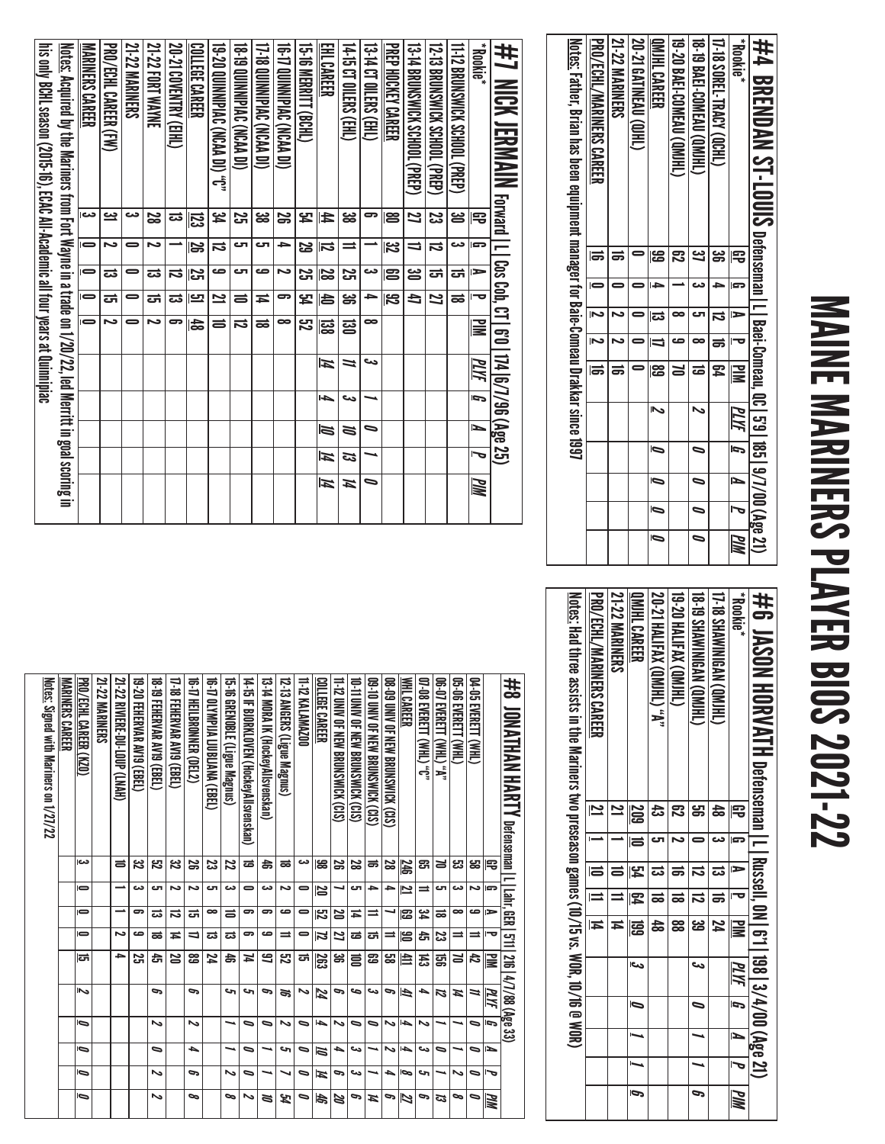# MAINE MARINERS PLAYER BIOS 2021-22 MAINE MARINERS PLAYER BIOS 2021-22

| <u>Notes:</u> Father, Brian has been equipment manager for Baie-Comeau Drakkar since 1997 | PRO/ECHL/MARINERS CAREER | <b>21-22 MARINERS</b> | 20-21 GATINEAU (QIHL) | IMIHL CAREER            | 19-20 BAE1-COMEAU (QM)HL | <b>18-19 BAEI-COMEAU (QM)HL</b> | <b>17-18 SOREL-TRACY (OCHL)</b> | <b>Rookie</b> * | #4 BRENDAN ST-LOUIS Defenseman I-l Baei-Gomeau, 00.15918519/7/00(λge 21) |
|-------------------------------------------------------------------------------------------|--------------------------|-----------------------|-----------------------|-------------------------|--------------------------|---------------------------------|---------------------------------|-----------------|--------------------------------------------------------------------------|
|                                                                                           |                          |                       |                       | န္မ                     |                          | <u>ین</u>                       | ఴ                               | 号               |                                                                          |
|                                                                                           |                          |                       |                       | دا                      |                          | دے                              |                                 | G               |                                                                          |
|                                                                                           |                          |                       |                       | ದ                       |                          |                                 | ವ                               |                 |                                                                          |
|                                                                                           |                          |                       |                       |                         | ص                        |                                 |                                 |                 |                                                                          |
|                                                                                           |                          |                       |                       | င္ယြ                    |                          | ಹ                               | 54                              | <b>MIN</b>      |                                                                          |
|                                                                                           |                          |                       |                       | $\overline{\mathbf{z}}$ |                          |                                 |                                 | PLIY            |                                                                          |
|                                                                                           |                          |                       |                       | Ō                       |                          |                                 |                                 |                 |                                                                          |
|                                                                                           |                          |                       |                       | Ō                       |                          | $\overline{\phantom{0}}$        |                                 | N               |                                                                          |
|                                                                                           |                          |                       |                       | Ō                       |                          | $\overline{\phantom{0}}$        |                                 |                 |                                                                          |
|                                                                                           |                          |                       |                       | Ō                       |                          | $\overline{\phantom{0}}$        |                                 | <u>РИМ</u>      |                                                                          |

| lis only BCHL season (2015-16), FCAC All-Academic all four years at Quiminizion | <u>Notes:</u> Acquired by the Mariners from Fort Wayne in a trade on 1/20/22, led Merritt in goal scoring in | MARINERS CAREER          | PRO/ECHL CAREER (FW) | <b>21-22 MARINERS</b> | 21-22 FORT WAYNE | 20-21 COVENTRY (EIHL) | COLLEGE CAREER | D., (IQ VVCN) CVCV (ACV), | <b>(IQ ASS) ON NIPING (NCAA DI)</b> | 17-18 QUINNIPIAC (NCAA DI) | <b>(IQ NAMPIAC NCAA DI)</b> | 15-16 MERRILL (BCHL) | EHL CAREER              | 14-15 CT OLERS (EHL) | 13-14 CT OILERS (EHL) | PREP HOCKEY CAREER | 13-14 BRUNSWICK SCHOOL (PREP) | 12-13 BRUNSWICK SCHOOL (PREP) | 11-12 BRUNSWICK SCHOOL (PREP) | <b>Rookie</b>            | #7 MICK JERMAIN Forward I L I Cos Cob, CT I 6'0   174  6/7/96 (Age 25) |
|---------------------------------------------------------------------------------|--------------------------------------------------------------------------------------------------------------|--------------------------|----------------------|-----------------------|------------------|-----------------------|----------------|---------------------------|-------------------------------------|----------------------------|-----------------------------|----------------------|-------------------------|----------------------|-----------------------|--------------------|-------------------------------|-------------------------------|-------------------------------|--------------------------|------------------------------------------------------------------------|
|                                                                                 |                                                                                                              | دى                       | یے                   | دے                    | <u>ន</u>         | ದ                     | 忌              | <u>یو</u>                 | S                                   | జ                          | S                           | 54                   | E                       | జ                    | ౚ                     | ຮ                  | Z                             | ಜ                             | ൠ                             | 宅                        |                                                                        |
|                                                                                 |                                                                                                              | $\Rightarrow$            | N                    |                       | N                |                       | ß              | ನ                         | ى                                   | cл                         | 与                           | 53                   | $\overline{\mathbf{5}}$ | $\equiv$             |                       | 32                 | ╛                             | ವ                             | دے                            | l ST                     |                                                                        |
|                                                                                 |                                                                                                              | $\overline{\phantom{0}}$ | ದ                    |                       | ದ                | ನ                     | 25             | صه                        | ى                                   | صه                         | Σ                           | <u>ភ</u>             | R                       | 3ż                   | دے                    | 23                 | ఴ                             | ದ                             | ದ                             | $\Rightarrow$            |                                                                        |
|                                                                                 |                                                                                                              | $\overline{\phantom{0}}$ | ದ                    |                       | ದ                | ದ                     | بت             | 2                         | $\equiv$                            | ≖                          | ణ                           | <u>لہ</u>            | 合                       | ఴౢ                   | ≏                     | 32                 | Ł                             | 2                             | ಹ                             | $\overline{\phantom{a}}$ |                                                                        |
|                                                                                 |                                                                                                              | $\Rightarrow$            | N                    |                       | د٦               | ౼                     | 숪              | ᇹ                         | ನ                                   | ಹ                          | ∞                           | <u>ry</u>            | အ                       | ន្ធ                  | ∞                     |                    |                               |                               |                               | ≧                        |                                                                        |
|                                                                                 |                                                                                                              |                          |                      |                       |                  |                       |                |                           |                                     |                            |                             |                      | И                       | 1                    | دے                    |                    |                               |                               |                               | PLYF                     |                                                                        |
|                                                                                 |                                                                                                              |                          |                      |                       |                  |                       |                |                           |                                     |                            |                             |                      | 4                       | دے                   |                       |                    |                               |                               |                               | $\overline{5}$           |                                                                        |
|                                                                                 |                                                                                                              |                          |                      |                       |                  |                       |                |                           |                                     |                            |                             |                      | N                       | N                    | ∍                     |                    |                               |                               |                               | Ĺ                        |                                                                        |
|                                                                                 |                                                                                                              |                          |                      |                       |                  |                       |                |                           |                                     |                            |                             |                      | И                       | ದ                    |                       |                    |                               |                               |                               | J                        |                                                                        |
|                                                                                 |                                                                                                              |                          |                      |                       |                  |                       |                |                           |                                     |                            |                             |                      | И                       | И                    | ∍                     |                    |                               |                               |                               | Шd                       |                                                                        |
|                                                                                 |                                                                                                              |                          |                      |                       |                  |                       |                |                           |                                     |                            |                             |                      |                         |                      |                       |                    |                               |                               |                               |                          |                                                                        |

| #6 JASON HORVATH pefenseman   L   Russel, 0N   6'1   198   3/4/00 (Age 21)                       |            |    |     |    |               |      |   |   |   |     |
|--------------------------------------------------------------------------------------------------|------------|----|-----|----|---------------|------|---|---|---|-----|
| <b>Rookie</b> *                                                                                  | 宅          | G. | E   |    | $\mathbf{u}$  | PLYF | G | P | ص | PIM |
| 17-18 SHAWINIGAN (QMJHL)                                                                         | 48         | دے |     |    |               |      |   |   |   |     |
| <b>UNDERVALAGEMENT</b>                                                                           | <u>မှာ</u> |    |     |    | ین<br>صا      | ور   | ∍ |   |   | ್   |
| <b>UNIVAL SOLITARY (QMIHL)</b>                                                                   |            |    | ಕ   | ಹ  | 88            |      |   |   |   |     |
| 20-21 HALIFAX (QMJHL) "A"                                                                        |            |    |     | ಹ  | $\frac{4}{5}$ |      |   |   |   |     |
| OMIHL CAREER                                                                                     | <b>209</b> | Ia | ပြီ | 12 | 冨             | احى  | Ō |   |   | Ō   |
| <b>21-22 MARINERS</b>                                                                            |            |    |     |    |               |      |   |   |   |     |
| PRO/ECHL/MARINERS CAREER                                                                         | N          |    | la  |    | Ħ             |      |   |   |   |     |
| <u>Notes:</u> Had three assists in the Mariners two preseason games (10/15 vs. WOR, 10/16 @ WOR) |            |    |     |    |               |      |   |   |   |     |

| <u>Notes:</u> Signed with Mariners on 1/27/22 | MARINERS CAREER | PRO/ECHL CAREER (KZO) | <b>21-22 MARINERS</b> | 21-22 RNIERE-DU-LOUP (LNAH) | 19-20 Fehervar av 19 (Ebel) | 18-81 GEHERVAR AVI9 (EBEL) | 17-18 FEHERVAR AV19 (EBEL) | 16-TY HELBRONNER (DEL2) | 16-17 OLYMPIJA LJUBLJANA (EBEL) | 15.51 SERVICE Magnes | 14-15 IF BJORKLOVEN (Hockey Allsvenskan) | 13-14 MORA IK (HockeyAllsvenskan) | 12-13 ANGERS (Ligue Magnus) | 11-12 KALAMAZ00 | COLLEGE CAREER | 1-12 CMV OF NFW BROKSWICK (CLS) | 10 III DININ SENEW BROKSWICK (CCC) | 09-10 UNIV OF NEW BRUNSWICK (CIS) | 08-09 UNIV OF NEW BRUNSWICK (CIS) | WHL CAREER      | OP-08 EVERELT (WHL) "C" | OG-07 EVERETT<br><b>A, (THM).</b> | OS-06 EVERETT (WHL) | 04-05 EVERETT<br>(HM) |    | #8<br><b>JONATHAN HARTY Defenseman   L   Lahr, GER   571   216   4/7/88 (Age 33)</b> |
|-----------------------------------------------|-----------------|-----------------------|-----------------------|-----------------------------|-----------------------------|----------------------------|----------------------------|-------------------------|---------------------------------|----------------------|------------------------------------------|-----------------------------------|-----------------------------|-----------------|----------------|---------------------------------|------------------------------------|-----------------------------------|-----------------------------------|-----------------|-------------------------|-----------------------------------|---------------------|-----------------------|----|--------------------------------------------------------------------------------------|
|                                               |                 | دے                    |                       | $\equiv$                    | జ                           | ని                         | జ                          | 29                      | జ                               | 22                   | ಹ                                        | 4                                 | ಹ                           | دے              | ၼ              | 29                              | 28                                 | ಹ                                 | 29                                | <b>246</b>      | ඍ                       | ¥                                 | జ                   | జ                     | 宅  |                                                                                      |
|                                               |                 | $\blacksquare$        |                       |                             | دے                          | cл                         | N                          | د٦                      | cл                              | دے                   | 0                                        | دے                                | د٦                          | $\blacksquare$  | 20             |                                 | сπ                                 | ᆋ                                 | د                                 | Ľ               |                         | ال                                | دے                  | د٦                    | G  |                                                                                      |
|                                               |                 | $\blacksquare$        |                       |                             | ິ                           | ವ                          | ನ                          | ᇊ                       | $\infty$                        | ᇹ                    | ິ                                        | ౚ                                 | ص                           | 0               | ឌ              | 20                              | Ħ                                  | ⋍                                 |                                   | 12              | ڇ                       | ಹ                                 | $\bullet$           | ص                     | ∍  |                                                                                      |
|                                               |                 | $\blacksquare$        |                       | د٦                          | ص                           | ಹ                          | Ħ                          | ⇒                       | ವ                               | ವ                    | 5                                        | ص                                 | $\equiv$                    | $\Rightarrow$   | 2              | 2                               | ಹ                                  | ᇘ                                 | ⋍                                 | 旨               | ਨੀ                      | జ                                 | ⋍                   | $\equiv$              | ᅮ  |                                                                                      |
|                                               |                 | <b>Ich</b>            |                       | →                           | œ                           | ෫                          | 23                         | జ                       | N                               | お                    | И                                        | ട                                 | జ                           | ದ               | 263            | ఙ                               | 言                                  | జ                                 | జ                                 | 皀               | 퓮                       | g                                 | 3                   | 忐                     | ₹  |                                                                                      |
|                                               |                 | ما                    |                       |                             |                             | c                          |                            | c                       |                                 | c                    | حە                                       | ಲ                                 | æ                           | ∾               | N              | ⋼                               | حه                                 | دے                                | c                                 | Ā               | ┶                       | 73                                | A                   | $\overline{ }$        | MИ |                                                                                      |
|                                               |                 | Ō                     |                       |                             |                             | یہ                         |                            | ∾                       |                                 |                      | ∍                                        | ∍                                 | Ν                           | ∍               | ↳              | ∾                               | ∍                                  | D                                 | ∾                                 | ь               | ∾                       |                                   |                     | D                     | c  |                                                                                      |
|                                               |                 | Ō                     |                       |                             |                             | ∍                          |                            | ┶                       |                                 |                      | ∍                                        |                                   | حە                          | ∍               | 1ā             | ┶                               | دے                                 |                                   | N                                 | l-ba            | دى                      | $\bullet$                         |                     | ∍                     | ↘  |                                                                                      |
|                                               |                 | Ō                     |                       |                             |                             | یہ                         |                            | P                       |                                 | ゝ                    | ∍                                        |                                   |                             | ⋼               | И              | P                               | ىئ                                 |                                   | ▲                                 | lO <sub>O</sub> | دی                      |                                   | ∾                   | ⋼                     | ᠊ᢦ |                                                                                      |
|                                               |                 | ∍                     |                       |                             |                             | ゝ                          |                            | ∞                       |                                 | 9                    | ∾                                        | ă                                 | 54                          | ∍               | 与              | 20                              | ದ                                  | Ħ                                 | c                                 | N               | ౚ                       | ಡ                                 | ∞                   | ∍                     | MМ |                                                                                      |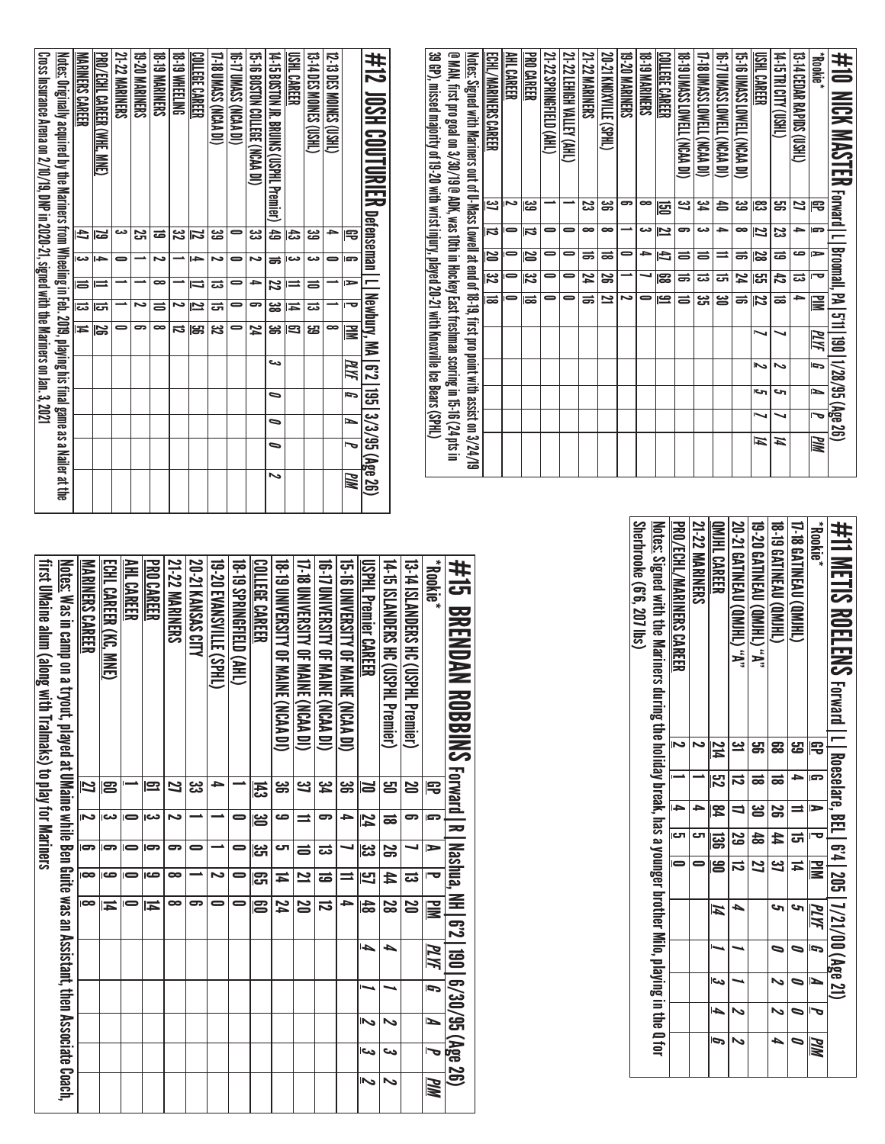| 39 GP), missed majority of 19-20 with wrist injury, played 20-21 with Knoxville Ice Bears (SPHL)<br>@ MAN, first pro goal on 3/30/19 @ ADK, was 10th in Hockey East freshman scoring in 15-16 (24 pts in | <u>Notes</u> : Signed with Mariners out of U-Mass Lowell at end of 18-19, first pro point with assist on 3/24/19<br>ECHL/MARINERS CAREER | AHL CAREER | <b>PRO CAREER</b>       | 21-22 SPRINGFIELD (AHL) | 21-22 LEHIGH VALLEY (AHL) | <b>21-22 MARINERS</b> | 20-21 KNOXVILLE (SPHL) | <b>19-20 MARINERS</b> | <b>18-TO MARINERS</b> | COLLEGE CAREER | 18. IN NASS LOWELL (NCAA DI) | 17-18 DMASS LOWELL (NCAA DI) | 16 T/ UMASS LOWELL (NCAA DI) | 15.5 DINASS LOWELL (NCAN DI) | USHL CAREER | T4: 15 DHY (USHL) | 13-14 CEDAR RAPIDS (USHL) | <b>Rookie</b> *          | #10 MCM MASTER reratal Li as of the factor of MASTER For the factor of the 10.728/89.06 |
|----------------------------------------------------------------------------------------------------------------------------------------------------------------------------------------------------------|------------------------------------------------------------------------------------------------------------------------------------------|------------|-------------------------|-------------------------|---------------------------|-----------------------|------------------------|-----------------------|-----------------------|----------------|------------------------------|------------------------------|------------------------------|------------------------------|-------------|-------------------|---------------------------|--------------------------|-----------------------------------------------------------------------------------------|
|                                                                                                                                                                                                          | یع                                                                                                                                       | دہ         | ಜ                       |                         |                           | జ                     | ၼ                      | ౚ                     | $\infty$              | 唇              | ݺ                            | ڇ                            | 농                            | జ                            | ಜ           | ൠ                 | И                         | 電                        |                                                                                         |
|                                                                                                                                                                                                          | $\overline{\bf 5}$                                                                                                                       |            | ನ                       |                         | -                         | 8                     | $\infty$               |                       | دے                    | <u>بہ</u>      | ౚ                            | دے                           | د                            | ∞                            | Z           | ಜ                 | د                         | G                        |                                                                                         |
|                                                                                                                                                                                                          | $\overline{\overline{\bf s}}$                                                                                                            |            | 12                      |                         |                           | ᇹ                     | ᇹ                      | -                     | د                     | Ł              | ᇹ                            | ᇹ                            | ⋍                            | ಹ                            | 52          | ಹ                 | ص                         | ►                        |                                                                                         |
|                                                                                                                                                                                                          | $\overline{\overline{\overline{z}}}$                                                                                                     |            | $\overline{\mathbf{z}}$ | -                       | 0                         | 24                    | <u>ន</u>               |                       |                       | ၼ              | ᇹ                            | ವ                            | ದ                            | 24                           | ပ္ပြာ       | 42                | ವ                         | $\overline{\phantom{a}}$ |                                                                                         |
|                                                                                                                                                                                                          |                                                                                                                                          |            | ಹ                       |                         |                           | ಹ                     | 2                      | د٦                    |                       | ݠ              | ᇹ                            | ಜ                            | ఆ                            | ᇹ                            | 72          | ಹ                 | ⇒                         | ≧                        |                                                                                         |
|                                                                                                                                                                                                          |                                                                                                                                          |            |                         |                         |                           |                       |                        |                       |                       |                |                              |                              |                              |                              |             |                   |                           | PLYF                     |                                                                                         |
|                                                                                                                                                                                                          |                                                                                                                                          |            |                         |                         |                           |                       |                        |                       |                       |                |                              |                              |                              |                              | ๛           | ∾                 |                           | G                        |                                                                                         |
|                                                                                                                                                                                                          |                                                                                                                                          |            |                         |                         |                           |                       |                        |                       |                       |                |                              |                              |                              |                              | احى         | حە                |                           | L                        |                                                                                         |
|                                                                                                                                                                                                          |                                                                                                                                          |            |                         |                         |                           |                       |                        |                       |                       |                |                              |                              |                              |                              |             |                   |                           | 宝                        |                                                                                         |
|                                                                                                                                                                                                          |                                                                                                                                          |            |                         |                         |                           |                       |                        |                       |                       |                |                              |                              |                              |                              | И           | Ħ                 |                           | MМ                       |                                                                                         |

| #12_00SH COUTURIER petenseman I I Newbury. MA I 6'2   195   3/3/95 (Age 26)                                             |            |                         |                         |                    |                         |       |                          |                          |                          |    |
|-------------------------------------------------------------------------------------------------------------------------|------------|-------------------------|-------------------------|--------------------|-------------------------|-------|--------------------------|--------------------------|--------------------------|----|
|                                                                                                                         | 宅          | l gra                   | $\Rightarrow$           | l-o                | $\overline{\mathbb{R}}$ | PLIYE | $\overline{p}$           | ь                        |                          | PM |
| <b>12-13 DES MOINES (USHL)</b>                                                                                          |            |                         |                         |                    | ∞                       |       |                          |                          |                          |    |
| <b>CHASIC SHOWES (DSHL)</b>                                                                                             | జ          | دے                      | ᇹ                       | ವ                  | ෂ                       |       |                          |                          |                          |    |
| USHL CAREER                                                                                                             | 忐          | دے                      | ⇒                       | И                  | $\overline{\Xi}$        |       |                          |                          |                          |    |
| 14-15 BOSTON IR BRUINS (CSPHL Premier)   49                                                                             |            | ಕ                       | $\overline{z}$          | ఴ                  | డ్డ                     | دے    | $\overline{\phantom{0}}$ | $\overline{\phantom{0}}$ | $\overline{\phantom{0}}$ |    |
| 15-16 BOSTON COLLEGE (NCAN DI)                                                                                          | ی<br>د     | ぃ                       | ÷                       | 5                  | 74                      |       |                          |                          |                          |    |
| <b>16-T UMASS CNCAA DIS</b>                                                                                             |            | $\equiv$                | 0                       | 0                  | =                       |       |                          |                          |                          |    |
| 17-18 UMASS (NCAA DI)                                                                                                   | జ          | N                       | ಪ                       | ਨ                  | ಼                       |       |                          |                          |                          |    |
| <b>COLLEGE CAREER</b>                                                                                                   | Z          | ÷                       | $\overline{\mathbf{u}}$ | $\bar{\mathbf{z}}$ | ௐ                       |       |                          |                          |                          |    |
| <b>18-TO WHEELING</b>                                                                                                   | <u>یع</u>  |                         |                         | N                  | ದ                       |       |                          |                          |                          |    |
| <b>SATINAMERS</b>                                                                                                       | ಹ          | N                       | $\infty$                | $\equiv$           | ៑                       |       |                          |                          |                          |    |
| <b>19-20 MARINERS</b>                                                                                                   | <u>ភ្ន</u> |                         |                         | د                  | 5                       |       |                          |                          |                          |    |
| <b>21-22 MARINERS</b>                                                                                                   | دى         |                         |                         |                    |                         |       |                          |                          |                          |    |
| <b>PRO/UCHL CAREER (WHE, MNE)</b>                                                                                       | ಡ          | 5                       | $\equiv$                | ಪ                  |                         |       |                          |                          |                          |    |
| <b>MARINERS CAREER</b>                                                                                                  | đ          | $\overline{\mathbf{5}}$ | $\equiv$                | ಹ                  | $\overline{1}$          |       |                          |                          |                          |    |
| <u>Notes:</u> Originally acquired by the Mariners from Wheeling in Feb. 2019, playing his final game as a Nailer at the |            |                         |                         |                    |                         |       |                          |                          |                          |    |
| Cross Insurance Arena on 2/10/19, DNP in 2020-21, signed with the Mariners on Jan. 3, 2021                              |            |                         |                         |                    |                         |       |                          |                          |                          |    |

| #11 MEIIS ROFLENS Forward I I Rosselars, BEI   6'4   205   1/21/00 (Age 21)                                       |                  |     |                         |                   |                |      |    |                          |                          |    |
|-------------------------------------------------------------------------------------------------------------------|------------------|-----|-------------------------|-------------------|----------------|------|----|--------------------------|--------------------------|----|
| <b>Rookie</b> *                                                                                                   | 吊                | E.  | E                       |                   | Ξ              | PLYF | Ī, | N                        |                          | ЫM |
| 17-18 GATINEAU (QMJHL)                                                                                            | 5g<br>ما         |     |                         | <sub>ਯ</sub>      |                | Ŝ    |    |                          |                          |    |
| <b>18-19 GATINEAU (QMIHL)</b>                                                                                     | ౙ                | ಹ   | S                       | #                 | <u>یع</u>      | c    | ๑  | $\overline{\phantom{0}}$ | $\overline{\phantom{0}}$ | Þ  |
| 19-20 GATINEAU (QM)HL) "A"                                                                                        | පු<br>ප          | ಹ   | ఴ                       | 5                 | 2              |      |    |                          |                          |    |
| <b>20-21 GATINEAU (QMJHL) "A"</b>                                                                                 | <u>س</u>         | ವ   |                         | 25                | ದ              | ┶    |    |                          |                          |    |
| QMJHL CAREER                                                                                                      | $\frac{214}{11}$ | ပြီ | $\overline{\mathbf{z}}$ | <br> 36   <br> 30 |                | И    |    | الى                      | ł                        | Ī  |
| <b>21-22 MARINERS</b>                                                                                             |                  |     |                         | cл                |                |      |    |                          |                          |    |
| PRO/ECHL/MARINERS CAREER                                                                                          | Z                |     |                         | $\overline{5}$    | $\overline{a}$ |      |    |                          |                          |    |
| <u>Notes:</u> Signed with the Mariners during the holiday break, has a younger brother Milo, playing in the Q for |                  |     |                         |                   |                |      |    |                          |                          |    |
| Sherbrooke (6'6, 207 lbs)                                                                                         |                  |     |                         |                   |                |      |    |                          |                          |    |

| #15 BRENDAN ROBBINS Forward I R I Nashua, NH I 6'2   190   6/30/95 (Age 26)                                     |         |          |          |                |               |      |    |   |     |    |
|-----------------------------------------------------------------------------------------------------------------|---------|----------|----------|----------------|---------------|------|----|---|-----|----|
| <b>Rookie*</b>                                                                                                  | 号       | <b>G</b> | ⋗        | ⊢              | $\frac{1}{2}$ | PLYF | Ī, | L | J   | MM |
| 13-14 ISLANDERS HC (USPHL Premier)                                                                              | 20      | ິ        |          | ದ              | N             |      |    |   |     |    |
| 14-15 ISLMMDERS HC (USPHL Premier)                                                                              | ൠ       | ಹ        | န္တ      | 44             | 28            | ▲    |    | ゝ | دے  | ~  |
| <b>USPHL Premier CAREER</b>                                                                                     | ă       | 74       | یں<br>ما | Ľ              | $\frac{4}{8}$ | Í    |    | へ | احى | へ  |
| 15-16 UNIVERSITY OF MAINE(NCAA DI)                                                                              | ఴ       | →        |          | =              | →             |      |    |   |     |    |
| 16-17 UNIVERSITY OF MAINE (NGAA DI)                                                                             | یم<br>4 | ິ        | ದ        | ಹ              | ವ             |      |    |   |     |    |
| 17-18 UNIVERSITY OF MAINE (NCAA DI)                                                                             | ین      |          | ៛        | 2              | 20            |      |    |   |     |    |
| 18-SININERSILLA DE MAINE (NCAA DI)                                                                              | ఴ       | ص        | ى        | ≖              | 74            |      |    |   |     |    |
| <b>COLLEGE CAREER</b>                                                                                           | 忎       | ఴ        | دى<br>ص  | සි             | 2             |      |    |   |     |    |
| <b>18-DO CAHLELD (AHL)</b>                                                                                      |         |          | 0        | 0              |               |      |    |   |     |    |
| <b>UP-20 EVANSVILLE (SPHL)</b>                                                                                  | ≏       |          |          | N              |               |      |    |   |     |    |
| 20-21 KANSAS CITY                                                                                               | دە      |          | 0        |                | 5             |      |    |   |     |    |
| <b>21-22 MARINERS</b>                                                                                           | 2       | N        | 5        | $\bullet$      | $\bullet$     |      |    |   |     |    |
| <b>PRO CAREER</b>                                                                                               | 므       | دم       | ဓာ       | ص              | Ħ             |      |    |   |     |    |
| AHL CAREER                                                                                                      |         | -        |          | $\blacksquare$ |               |      |    |   |     |    |
| ECHL CAREER (KC, MNE)                                                                                           | ຂ       | دى       | G        | ص              | Ħ             |      |    |   |     |    |
| MARINERS CAREER                                                                                                 | 2       | N        | ဓာ       | $\bullet$      | $\infty$      |      |    |   |     |    |
| <u>Notes:</u> Was in camp on a tryout, played at UMaine while Ben Guite was an Assistant, then Associate Coach, |         |          |          |                |               |      |    |   |     |    |
| first UMaine alum (along with Tralmaks) to play for Mariners                                                    |         |          |          |                |               |      |    |   |     |    |
|                                                                                                                 |         |          |          |                |               |      |    |   |     |    |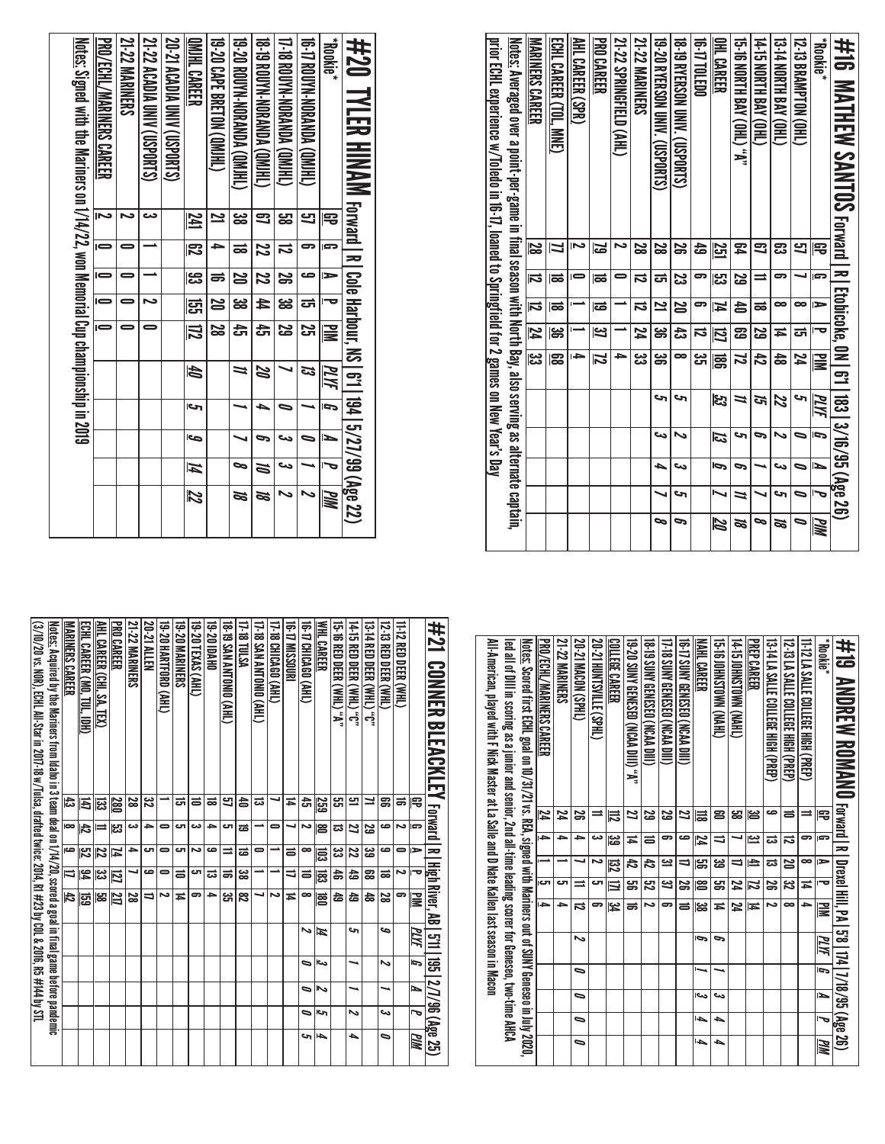| #16 MATHEW SAMTOS Forward I R I Ecorione, 0N I 6:1 183   3/16/95 (Age 26)                                       |     |          |               |                         |               |      |    |    |    |             |
|-----------------------------------------------------------------------------------------------------------------|-----|----------|---------------|-------------------------|---------------|------|----|----|----|-------------|
| <b>Rookie</b> *                                                                                                 | 묵   | s        | $\Rightarrow$ |                         | $\mathbf{r}$  | PLYF | Ī, | Ł  |    | <b>MI</b> d |
| 12-13 BRAMPTON (OHL)                                                                                            | 9   |          | $\bullet$     | ದ                       | 74            | حہ   | 0  | 0  | 0  | 0           |
| 13-14 NORTH BAY (OHL)                                                                                           | ఔ   | 5        | ∞             | ≖                       | $\frac{4}{5}$ | 22   | ぃ  | دے | حه | m           |
| (THO) APB HINDIN SI+1                                                                                           | Ξ   |          | ಹ             | ಜ                       | ਲੈ            | ল    | P  |    |    | 。           |
| 15-16 NORTH BAY (OHL) "A"                                                                                       | 54  | <u>ន</u> | 놈             | ෂ                       | Z             | ≒    | S  | 9  | =  | m           |
| <b>OHL CAREER</b>                                                                                               | 55  | ပ္ပာ     | И             | 囚                       | gg            | 33   | ದ  | Ģ  |    | 12          |
| 16-17 TOLEDO                                                                                                    | 숩   | 5        | ິ             | ನ                       | یب<br>ان      |      |    |    |    |             |
| 18-19 RYERSON UNIV. (USPORTS)                                                                                   | వ్ల | ಜ        | 20            | සි                      | ∞             | حہ   |    | دے | حه | P           |
| 19-20 RYERSON ONIX (USDORTS)                                                                                    | 2s  | ದ        | 2             | ఴ                       | ఴౢ            | c    | دى | ┶  |    | $\sim$      |
| <b>21-22 MARINERS</b>                                                                                           | S   | ನ        | ವ             | 74                      | یب<br>ڈن      |      |    |    |    |             |
| 21-22 SPRINGFIELD (AHL)                                                                                         |     |          |               |                         | ≏             |      |    |    |    |             |
| PRO CAREER                                                                                                      | 2   | ಹ        | ಹ             | <u>یہ</u>               | 72            |      |    |    |    |             |
| <b>AHL CAREER (SPR)</b>                                                                                         |     |          |               |                         | ŀ             |      |    |    |    |             |
| ECHL CAREER (TOL, MNE)                                                                                          |     | ಹ        | ಹ             | ఴ                       | င္ထာ          |      |    |    |    |             |
| MARINERS CAREER                                                                                                 | 8Z  | 瓦        | ನ             | $\overline{\mathbf{z}}$ | <u>ಜ</u>      |      |    |    |    |             |
| <u>Notes:</u> Averaged over a point-per-game in final season with North Bay, also serving as alternate captain, |     |          |               |                         |               |      |    |    |    |             |
| prior ECHL experience w/Toledo in 16-17, loaned to Springfield for 2 games on New Year's Day                    |     |          |               |                         |               |      |    |    |    |             |

| <u>Notes:</u> Signed with the Mariners on 1/14/22, won Memorial Cup championship in 2019 | PRO/ECHL/MARINERS CAREER | <b>21-22 MARINERS</b> | 21-22 ACADIA UNIV (USPORTS) | <b>20-21 ACADIA UNIV (USPORTS)</b> | <b>OMIHL CAREER</b>     | 19-20 CAPE BRETON (QMJHL) | 19-20 BOOKN-NORANDA (GINTEL) | 18-19 ROUYN-NORANDA (QMHL) | 17-18 ROUYN-NORANDA (QMHL) | 16-17 ROUYN-NORANDA (QMIHL) | <b>Rookie*</b> | #20 TYLER HINAM Forward   R   Cole Harbour, NS   6'1   194   5/27/99 (Age 22) |
|------------------------------------------------------------------------------------------|--------------------------|-----------------------|-----------------------------|------------------------------------|-------------------------|---------------------------|------------------------------|----------------------------|----------------------------|-----------------------------|----------------|-------------------------------------------------------------------------------|
|                                                                                          |                          |                       |                             |                                    | 241                     | 2                         | జ                            | 3                          | <mark>ය</mark>             | 5                           | 宅              |                                                                               |
|                                                                                          |                          |                       |                             |                                    | $\overline{\mathbb{E}}$ |                           | ಹ                            | 22                         | ವ                          |                             | s              |                                                                               |
|                                                                                          |                          |                       |                             |                                    | ၕ                       | ಕ                         | S                            | 22                         | န္တ                        |                             |                |                                                                               |
|                                                                                          |                          |                       | د                           |                                    | ឌ្ញ                     | N                         | <u>ದ್ದ</u>                   | Ħ                          | ఴ                          | ದ                           |                |                                                                               |
|                                                                                          | $=$                      |                       |                             |                                    | $ \vec{z} $             | 28                        | $\overline{\mathbf{f}}$      | 푽                          | 5g                         | S                           | $\geq$         |                                                                               |
|                                                                                          |                          |                       |                             |                                    | th                      |                           | 11                           | B                          |                            | ದ                           | MИ             |                                                                               |
|                                                                                          |                          |                       |                             |                                    | احى                     |                           |                              |                            |                            |                             | ŋ              |                                                                               |
|                                                                                          |                          |                       |                             |                                    | Ō                       |                           |                              | g,                         | دے                         |                             | N              |                                                                               |
|                                                                                          |                          |                       |                             |                                    | И                       |                           | Ø,                           | N                          | دە                         |                             | Į              |                                                                               |
|                                                                                          |                          |                       |                             |                                    | 72                      |                           | N                            | N                          | ゝ                          |                             | МM             |                                                                               |

| All-American, played with F Nick Master at La Salle and D Nate Kallen last season in Macon<br>led all of Dilli in scoring as a junior and section school of Genesso, two-time AHCA<br><u>Notes:</u> Scored first ECHL goal on 10/31/21 vs. REA, signed with Mariners out of SUNY Geneseo in July 2020, | PRO/ECHL/MARINERS CAREER<br>74 | 21-22 MARINERS<br>24 | 20-21 MACON (SPHL)<br>జ  | 20-21 HONTSVILLE (SPHL) | <b>COLLEGE CAREER</b><br>₹ | 19-20 SUNY GENESEO (NCAA DIII) "A"<br>2 | 18. UNIVERSION VERVESS (NCAA DIII)<br>ಜ | 17-18 SUNY GENESEO (NCAA DIII)<br>ಜ | <b>16-17 SONY GENESED (NCAN DILI)</b><br>2 | NAHL CAREER<br>긂 | <b>G-BIONACIONAL CARELY</b><br>2 | (THYN) NMOLSNHOI'SL-t<br>జ | PREP CAREER<br>ఆ | 13-14 LA SALLE COLLEGE HIGH (PREP)<br>ص | 12-23 Deep (Pres High High Court)<br>ᇹ | 11-12 LA SALLE COLLEGE HIGH (PREP)<br>⇒ | <b>Pookie</b><br>Ρ | #19 ANDREW ROMANO Forward I RI Drexel Hill, PA [ 58   174   7/18/95 (Age 26) |
|--------------------------------------------------------------------------------------------------------------------------------------------------------------------------------------------------------------------------------------------------------------------------------------------------------|--------------------------------|----------------------|--------------------------|-------------------------|----------------------------|-----------------------------------------|-----------------------------------------|-------------------------------------|--------------------------------------------|------------------|----------------------------------|----------------------------|------------------|-----------------------------------------|----------------------------------------|-----------------------------------------|--------------------|------------------------------------------------------------------------------|
|                                                                                                                                                                                                                                                                                                        | $\rightarrow$                  | ٠                    | ٠                        | دے                      | జ                          | Ħ                                       | ᇹ                                       | 5                                   | ص                                          | 74               | ⇒                                |                            | یے               | ದ                                       | ವ                                      | 5                                       | ᇛ                  |                                                                              |
|                                                                                                                                                                                                                                                                                                        |                                |                      |                          | N                       | ౙ                          | 42                                      | 42                                      | یت                                  | ⇉                                          | ౻                | జ                                | ⇛                          | ±                | ದ                                       | 20                                     | $\infty$                                | ь                  |                                                                              |
|                                                                                                                                                                                                                                                                                                        | cл                             | ال                   |                          | ى                       | ≡                          | ఴౢ                                      | ద్ర                                     | ݺ                                   | జ                                          | ႜၕ               | ൠ                                | 74                         | Z                | జ                                       | ಜ                                      | Ħ                                       | Ō                  |                                                                              |
|                                                                                                                                                                                                                                                                                                        | a.                             | ᆋ                    | ವ                        | 5                       | يد<br>4                    | ಹ                                       | N                                       | 5                                   | $\equiv$                                   | ಜ                | Ħ                                | 74                         | Ħ                | N                                       | ∞                                      | 5                                       | l≣                 |                                                                              |
|                                                                                                                                                                                                                                                                                                        |                                |                      | ゝ                        |                         |                            |                                         |                                         |                                     |                                            | Ģ                | P                                |                            |                  |                                         |                                        |                                         | <u>МИ</u>          |                                                                              |
|                                                                                                                                                                                                                                                                                                        |                                |                      | ⋼                        |                         |                            |                                         |                                         |                                     |                                            |                  |                                  |                            |                  |                                         |                                        |                                         | 5                  |                                                                              |
|                                                                                                                                                                                                                                                                                                        |                                |                      | ۰                        |                         |                            |                                         |                                         |                                     |                                            | اص               | دے                               |                            |                  |                                         |                                        |                                         | Þ                  |                                                                              |
|                                                                                                                                                                                                                                                                                                        |                                |                      | $\overline{\phantom{0}}$ |                         |                            |                                         |                                         |                                     |                                            | l-ba             | ┶                                |                            |                  |                                         |                                        |                                         | J                  |                                                                              |
|                                                                                                                                                                                                                                                                                                        |                                |                      | ۰                        |                         |                            |                                         |                                         |                                     |                                            | l-ba             | ┶                                |                            |                  |                                         |                                        |                                         | MМ                 |                                                                              |

| 井21 CONNER BLEACKLEY Forward In ligh River, AB [5]11 195 [27/96 (Age 25)                                                 |     |          |               |               |               |    |     |   |    |    |
|--------------------------------------------------------------------------------------------------------------------------|-----|----------|---------------|---------------|---------------|----|-----|---|----|----|
|                                                                                                                          | 厇   | G        | $\Rightarrow$ | ∣−⊌           | ₩W            | ΜЫ | Đ   | ь | J  | WМ |
| 11-12 RED DEER (WHL)                                                                                                     | ಹ   | د٦       | 0             | N             | 9             |    |     |   |    |    |
| 12-13 RED DEER (WHL)                                                                                                     | ຘ   | مە       | ص             | ಹ             | 23            | م  | N   |   | دى | ∍  |
| <b>13 HIVA DEER (NHL)</b> 0                                                                                              | ⊒   | ಜ        | یئ            | జె            | ढ़            |    |     |   |    |    |
| 14-15 RED DEER (WHL) "C"                                                                                                 | 므   | 2        | 22            | 숩             | 숩             | ى  |     |   | Ν  | ┶  |
| 15-16 RED DEER (WHL) "A"                                                                                                 | සූ  | ದ        | یئ            | ඝ             | ढ़            |    |     |   |    |    |
| <b>WHL CAREER</b>                                                                                                        | 259 | ළ        | 旨             | జె్           | 扈             | И  | احى | ञ | ات | ┶  |
| TG-T7 CHICAGO (AHL)                                                                                                      | ਨੋ  | Z        | $\bullet$     | ᇹ             | $\infty$      | ∾  | ∍   | ⋼ | ۰  | ౪  |
| 16-17 MISSOURI                                                                                                           | Ħ   |          | ᇹ             | ⇉             | Ħ             |    |     |   |    |    |
| 17-18 CHICAGO (AHL)                                                                                                      |     | 0        |               |               | ىم            |    |     |   |    |    |
| (THE) OINDUNT WIS SI-10                                                                                                  | ಪ   |          | 0             |               |               |    |     |   |    |    |
| 17-18 TULSA                                                                                                              | 습   | ಹ        | ಹ             | జ             | జ             |    |     |   |    |    |
| <b>(THY) OINQLINY NYS 61-81</b>                                                                                          | 9   | ౮        | ⋍             | ಹ             | ಜ             |    |     |   |    |    |
| <b>0HVOI 07-61</b>                                                                                                       | ಹ   | ≏        | ص             | ಪ             | ≏             |    |     |   |    |    |
| 19-20 TEXAS (AHL)                                                                                                        | ᇹ   | دے       | د٦            | c             | ິ             |    |     |   |    |    |
| <b>19-20 MARINERS</b>                                                                                                    | ದ   | ω٦       | cл            | ᇹ             | ≖             |    |     |   |    |    |
| 19-20 HARTFORD (AHL)                                                                                                     |     | 0        | 0             | 0             | د٦            |    |     |   |    |    |
| 20-21 Allen                                                                                                              | జ   | د        | cл            | ص             | ⇉             |    |     |   |    |    |
| <b>21-22 MARINERS</b>                                                                                                    | 23  | دى       | →             |               | ಜ             |    |     |   |    |    |
| PRO CAREER                                                                                                               | 280 | ပ္လာ     | ħ             | に             | 21            |    |     |   |    |    |
| AHL CAREER (CHI, SA, TEX)                                                                                                | 뎛   | $\equiv$ | 22            | ಜ             | ಜ             |    |     |   |    |    |
| ECHL CAREER (MO, TUL, IDH)                                                                                               | E   | 占        | <b>ZS</b>     | $\frac{3}{4}$ | 區             |    |     |   |    |    |
| MARINERS CAREER                                                                                                          | 43  | lœ       | ص             | ₹             | $\frac{4}{5}$ |    |     |   |    |    |
| <u>Notes:</u> Acquired by the Mariners from Idaho in 3 team deal on 1/14/20, scored a goal in final game before pandemic |     |          |               |               |               |    |     |   |    |    |
| (3/10/20 vs. NOR), ECHL All-Star in 2017-18 w/Tulsa, drafted twice: 2014, R1 #23 by COL & 2016, R5 # 144 by STL          |     |          |               |               |               |    |     |   |    |    |
|                                                                                                                          |     |          |               |               |               |    |     |   |    |    |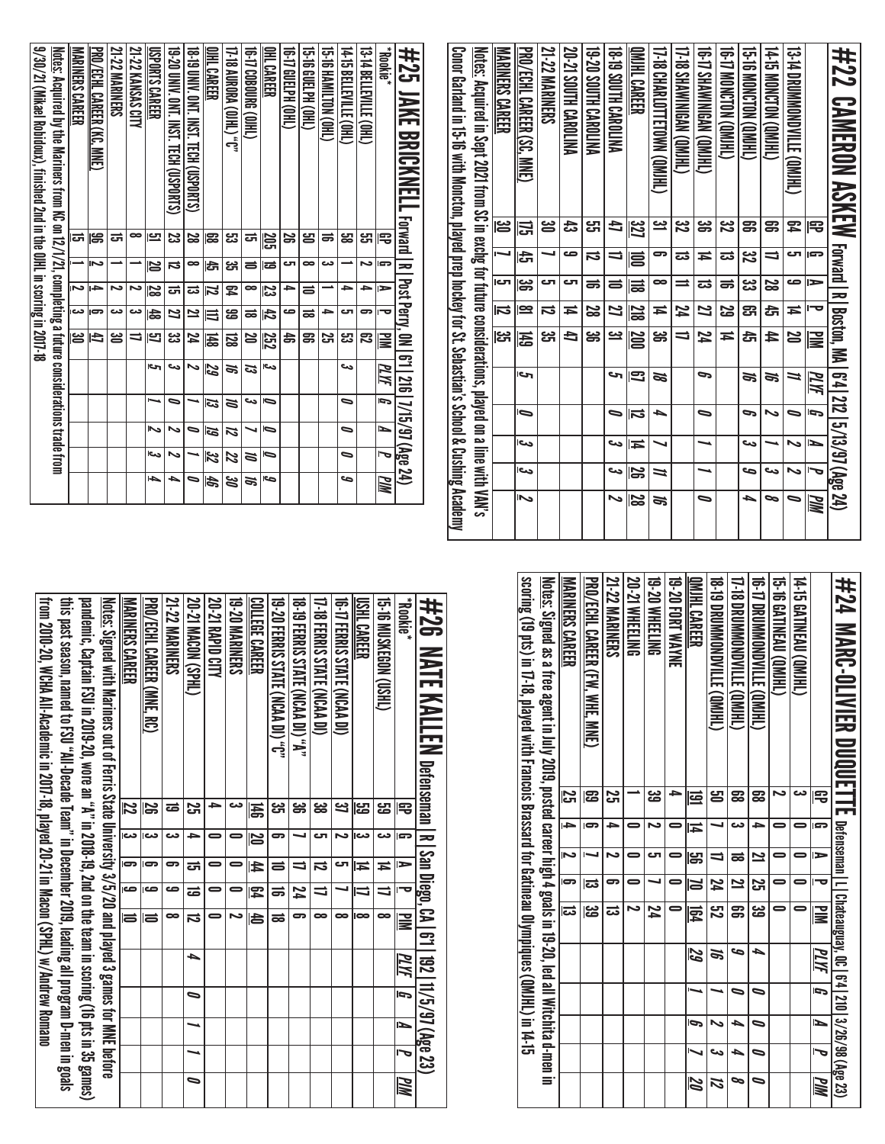|                                                                                                             |                           |                           |                |                      |                            |                            | OMIHL CAREER            |                            |                          |                          |                      |                      |                       |                                |     | #22                                                                                                                  |
|-------------------------------------------------------------------------------------------------------------|---------------------------|---------------------------|----------------|----------------------|----------------------------|----------------------------|-------------------------|----------------------------|--------------------------|--------------------------|----------------------|----------------------|-----------------------|--------------------------------|-----|----------------------------------------------------------------------------------------------------------------------|
| <b>MARINERS CAREER</b>                                                                                      |                           | PRO/ECHL CAREER (SC, MNE) | 21-22 MARINERS | 20-21 SOUTH CAROLINA | <b>ALLORAC HTUOS OS-81</b> | <b>NATIONS HINGS 61-81</b> |                         | T-18 CHARLOTTETOWN (QMIHL) | UHIMO) NPSIMMERS (GRIHU) | 16-17 SHAWIMINER (OMIHL) | (THIND) NOTONG THE S | 15-16 MONCTON (QMHL) | (THIMD) NOLONOM SI-ti | <b>13-14 DROMMONDINE (OMH)</b> |     | <b>CANHERIAL MONTHAL REPORTS IN THE SECTION OF A DISCUSSION OF A DISCUSSION OF A DISCUSSION OF A DISCUSSION OF A</b> |
|                                                                                                             | မြိ                       | 금                         | ൠ              | ಹಿ                   | ಜ                          | ₫                          | 32]                     | <u>يە</u>                  | 32<br>N                  | ఊ                        | జ                    | ສ                    | ສ                     | 54                             | 宅   |                                                                                                                      |
|                                                                                                             | ┙                         | 츣                         | ┙              | ص                    | ವ                          | ⇉                          | I                       | ౼                          | ಪ                        | Ħ                        | ದ                    | <u>ین</u>            | ⇒                     | ى                              | G   |                                                                                                                      |
|                                                                                                             | rت                        | မ္တ                       | ى              | ى                    | ಹ                          | 5                          | 믏                       | œ                          | $\equiv$                 | ದ                        | ಹ                    | یں<br>ڈن             | 2g                    | حت                             | ь   |                                                                                                                      |
|                                                                                                             | $\overline{\overline{u}}$ | $\overline{\mathbf{e}}$   | ನ              | Ħ                    | 8<br>8                     | Z                          | <b>218</b>              | Ħ                          | 74                       | Z                        | 5g                   | සූ                   | đ                     | ≖                              | 宝   |                                                                                                                      |
|                                                                                                             | <u>ದ್ದ</u>                | 퓲                         | یب<br>ان       | đ                    | ౢౣ                         | <u>ین</u>                  | 007                     | ఴ                          | $\equiv$                 | 74                       | $\overline{4}$       | đ                    | 44                    | 20                             | ≧   |                                                                                                                      |
|                                                                                                             |                           | احى                       |                |                      |                            | حہ                         | 51                      | N                          |                          | P                        |                      | S,                   | S,                    | Z                              | ΜИ  |                                                                                                                      |
|                                                                                                             |                           | ⋐                         |                |                      |                            | ∍                          | $\overline{\bf 5}$      | ▲                          |                          | ∍                        |                      | c                    | ゝ                     | 0                              | g   |                                                                                                                      |
|                                                                                                             |                           | احم                       |                |                      |                            | دے                         | Ħ                       |                            |                          |                          |                      | دے                   |                       | ゝ                              | ►   |                                                                                                                      |
| <u>Notes:</u> Acquired in Sept 2021 from SC in exchg for future considerations, played on a line with VAN's |                           | احد                       |                |                      |                            | دے                         | $\overline{\mathbf{5}}$ | $\overline{u}$             |                          |                          |                      | حہ                   | دے                    | $\sim$                         | Į   |                                                                                                                      |
|                                                                                                             |                           | د۱                        |                |                      |                            |                            | <u>ន</u>                | ಕ                          |                          | 0                        |                      | ┶                    | 。                     |                                | PIN |                                                                                                                      |

| 9/30/21 (Mikael Robidoux), finished 2nd in the OJHL in scoring in 2017-18 | <u>Notes:</u> Acquired by the Mariners from KC on 12/1/21, completing a future considerations trade from | MARINERS CAREER | PRO/FCHI CAREER (KC. MNE) | 21-22 MARINERS | 21-22 KANSAS CITY | USPORTS CAREER | 19.20 UNIV. Ont. Inst. Tech (Usports) | 18-T9 DNIY. ON T. TECH (USPORTS) | OIHL CAREER | <b>17-18 AURORA (OIHL) "C"</b> | CHIO BANGO 41-91 | OHL CAREER | (THO) H<br>H<br>CD+<br>H<br>CD+<br>CD+<br>CD+<br>CD+<br>CD+<br>CD+<br>CD+<br>CD+<br>CD+<br>CD+<br>CD+<br>CD+<br>CD+<br>CD+<br>CD+<br>CD+<br>CD+<br>CD+<br>CD | CHO HEIDHOHL | GH316 HZML110K (OHL) | 14-15 BELLEVILLE (OHL) | 13-TABELEVILLE (OHL) | <b>Rookie</b> * | #25 JAKE BRICKNELL Forward IR Post Perry, 0N I 6:11216 7/15/97 (Age 24) |
|---------------------------------------------------------------------------|----------------------------------------------------------------------------------------------------------|-----------------|---------------------------|----------------|-------------------|----------------|---------------------------------------|----------------------------------|-------------|--------------------------------|------------------|------------|--------------------------------------------------------------------------------------------------------------------------------------------------------------|--------------|----------------------|------------------------|----------------------|-----------------|-------------------------------------------------------------------------|
|                                                                           |                                                                                                          | ದ               | န္တ                       | ದ              | ∞                 | 므              | ಜ                                     | 28                               | g           | ಜ                              | ದ                | ទី         | န္တ                                                                                                                                                          | ൠ            | ಹ                    | <mark>ය</mark>         | لى<br>س              | 雩               |                                                                         |
|                                                                           |                                                                                                          |                 | د٦                        |                |                   | N              | ವ                                     | $\bullet$                        | lâ,         | یئ                             | ᇹ                | ಹ          | ى                                                                                                                                                            | œ            | دے                   |                        | N                    | r               |                                                                         |
|                                                                           |                                                                                                          | N               | t.                        | د٦             | N                 | 29             | ᇘ                                     | ವ                                | Z           | ጄ                              | ∞                | ಜ          | ⇒                                                                                                                                                            | ᇹ            |                      | ≏                      | ∍                    | $\Rightarrow$   |                                                                         |
|                                                                           |                                                                                                          | دى              | ಣ                         | دت             | دے                | 齿              | Z                                     | 2                                | ₹           | ස                              | ಹ                | 42         | دہ                                                                                                                                                           | ಹ            | ⇒                    | ى                      | 5                    | ত               |                                                                         |
|                                                                           |                                                                                                          | ൠ               | đ                         | ൠ              | ӛ                 | Ľ              | ఴ                                     | 74                               | 퓲           | 52                             | S                | 252        | お                                                                                                                                                            | g            | 25                   | జ                      | ౘె                   | ≧               |                                                                         |
|                                                                           |                                                                                                          |                 |                           |                |                   | حا             | ىي                                    | N                                | 29          | ಕ                              | ದ                | دے         |                                                                                                                                                              |              |                      | دے                     |                      | MИ              |                                                                         |
|                                                                           |                                                                                                          |                 |                           |                |                   |                | 5                                     |                                  | ದ           | ă                              | دے               | 6          |                                                                                                                                                              |              |                      | 9                      |                      | G               |                                                                         |
|                                                                           |                                                                                                          |                 |                           |                |                   | へ              | ∾                                     | ∍                                | 61          | 12                             |                  | ⋼          |                                                                                                                                                              |              |                      | ∍                      |                      | ►               |                                                                         |
|                                                                           |                                                                                                          |                 |                           |                |                   | احد            | ∾                                     |                                  | 22          | Z                              | a                | 0          |                                                                                                                                                              |              |                      | ∍                      |                      |                 |                                                                         |
|                                                                           |                                                                                                          |                 |                           |                |                   | ↳              | ь                                     | 0                                | 45          | ಜ                              | a                | حے         |                                                                                                                                                              |              |                      | مه                     |                      | PМ              |                                                                         |

| #24 MARG-0LIVIER DUQUULTIL Lenananan lu charginal lu charginal lu charginal lu charginal lu charginal care 23     |           |        |                         |                         |               |      |   |   |    |    |
|-------------------------------------------------------------------------------------------------------------------|-----------|--------|-------------------------|-------------------------|---------------|------|---|---|----|----|
|                                                                                                                   | 雩         | l Sa   | $\triangleright$        | ᇰ                       | E             | PLYF | ŋ | N |    | WW |
| 14-15 GATINEAU (QMJHL)                                                                                            | دى        |        |                         |                         |               |      |   |   |    |    |
| 15-16 GATINEAU(QMIHL)                                                                                             |           |        |                         |                         |               |      |   |   |    |    |
| 16-11 DROMNONDATTE (OM)HT                                                                                         | జె        | ≏      | $\overline{\mathbf{z}}$ | <u>ន</u>                | ಜ             | ь    |   | 0 | 0  |    |
| <b>11-18 DROWNONDATILE CONTENT</b>                                                                                | జె        | دى     | ಹ                       | 2                       | g             | G    |   | ь | ь  | ∞  |
| <b>18.19 DAYANA MARINI SURING CRITE</b>                                                                           | ൠ         |        | $\overline{a}$          | 74                      | ឌ             | S,   |   | N | دە | И  |
| QMIHL CAREER                                                                                                      | <u>ය</u>  | ≖      | ട്ട                     | $\overline{\mathsf{a}}$ | $\frac{1}{2}$ | 29   |   | Ģ |    | N  |
| 19-20 FORT WAYNE                                                                                                  |           |        |                         |                         |               |      |   |   |    |    |
| 19-20 WHEELING                                                                                                    | یج        | N      | ౮                       |                         | 74            |      |   |   |    |    |
| 20-21 WHEELING                                                                                                    |           |        |                         |                         |               |      |   |   |    |    |
| <b>21-22 MARINERS</b>                                                                                             | <u>يہ</u> | ∍      |                         | 5                       | ದ             |      |   |   |    |    |
| PRO/ECHL CAREER(FW. WHE, MNE)                                                                                     | සි        | ౚ      |                         | ಪ                       | یب<br>ڪ       |      |   |   |    |    |
| <b>MARINERS CAREER</b>                                                                                            | S         | l<br>4 |                         | 5                       | ದ             |      |   |   |    |    |
| <u>Notes;</u> Signed as a free agent in July 2019, posted career high 4 goals in 19-20, led all Witchita d-men in |           |        |                         |                         |               |      |   |   |    |    |
| scring (19 pts) in 17-18, played with Francois Brassard for Gatineau Olympiques (QMHL) in 14-15                   |           |        |                         |                         |               |      |   |   |    |    |
|                                                                                                                   |           |        |                         |                         |               |      |   |   |    |    |

| #26 NATE KALLEN befenseman   R   Sale   Sale   11/5/97 (Age 23)                                                  |           |                         |               |                         |    |      |   |                          |    |
|------------------------------------------------------------------------------------------------------------------|-----------|-------------------------|---------------|-------------------------|----|------|---|--------------------------|----|
| <b>Rookie</b> *                                                                                                  | 공         | G                       | $\Rightarrow$ | ত                       | ≧  | PLYF | 5 | $\overline{\phantom{a}}$ | ИM |
| GINS MORKEDN (DSHL)                                                                                              | م<br>ما   | دے                      | Ħ             | u                       | œ  |      |   |                          |    |
| USHL CAREER                                                                                                      | من<br>ما  | دے                      | H             | $\blacksquare$          | œ  |      |   |                          |    |
| 16-17 FERRIS STATE (NCAA DI)                                                                                     | یے        | N                       | ای            |                         | œ  |      |   |                          |    |
| 17-18 FERRIS STATE (NCAA DI)                                                                                     | జ         | ى                       | ವ             | u                       | ∞  |      |   |                          |    |
| 18-19 FERRIS STATE (NCAA DI) "A"                                                                                 | ఴ         |                         | ╛             | 74                      |    |      |   |                          |    |
| 19. 20 FERRIS STATE (NCAA DI) "C"                                                                                | دە<br>س   | 5                       | $\equiv$      | ಹ                       | ಹ  |      |   |                          |    |
| <u>COLLEGE CAREER</u>                                                                                            | 禹         | $\overline{\mathbf{S}}$ | $\frac{1}{4}$ | $\overline{\mathbb{F}}$ | 固  |      |   |                          |    |
| <b>19-20 MARINERS</b>                                                                                            | دے        | 0                       | 0             |                         |    |      |   |                          |    |
| 20-21 RAPID CITY                                                                                                 | 5         | 0                       | 0             |                         |    |      |   |                          |    |
| 20-21 MACON (SPHL)                                                                                               | <u>يہ</u> | ᆋ                       | ದ             | ಹ                       | ನ  | ┶    | ∍ |                          | ∍  |
| <b>21-22 MARINERS</b>                                                                                            | ಹ         | دے                      | 5             | صه                      | œ  |      |   |                          |    |
| PRO/ECHL CAREER (MNE, RC)                                                                                        | အ         | دے                      | Э             | ص                       | la |      |   |                          |    |
| <b>MARINERS CAREER</b>                                                                                           | Z         | دعا                     | ౚ             | 6                       | d  |      |   |                          |    |
| <u>Notes:</u> Signed with Mariners out of Ferris State University 3/5/20 and played 3 games for MNE before       |           |                         |               |                         |    |      |   |                          |    |
| parties, Captain FSU in 35 gamins (16 p.m. 17 and on the team in scoriar 17 and on the remove of $\sim$ 10.19.20 |           |                         |               |                         |    |      |   |                          |    |
| this past season, named to FSU "All-Decade Team" in December 2019, leading all program D-men in goals            |           |                         |               |                         |    |      |   |                          |    |
| from 2010-20, WCHA All-Academic in 2017-18, played 20-21 in Macou (SPHL) w/Andrew Romano                         |           |                         |               |                         |    |      |   |                          |    |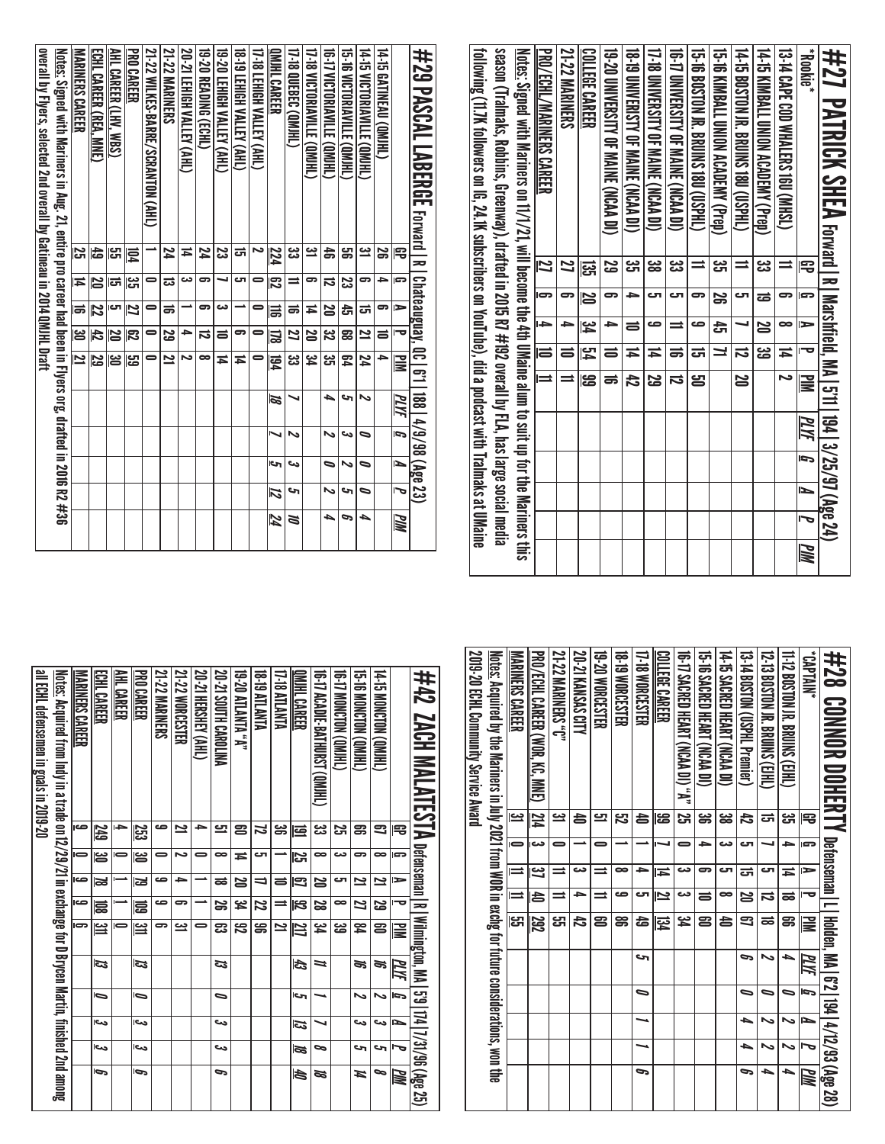| #27<br>*aixlooki <sup>e*</sup><br><b>PATRICK SHEA</b> Forward IR                                       | ੩                    | ls     | ⊫             |                         | ᅮ                            | Marshfield, MA   5'11<br>$\geq$ |      | 194   3/25/97 (Age 24<br>PLYF | J         | Ñ                     |            | <u>ММ</u> |
|--------------------------------------------------------------------------------------------------------|----------------------|--------|---------------|-------------------------|------------------------------|---------------------------------|------|-------------------------------|-----------|-----------------------|------------|-----------|
| 14-15 KIMBALL UNION ACADEMY (Prep)<br><b>13-14 CAPE COD MATERS 160 (NHSL)</b>                          | یں<br>ڈن<br>$\equiv$ | 5<br>ಹ | 8<br><b>N</b> |                         | ین<br>ها<br>14               | ζ                               |      |                               |           |                       |            |           |
| 14-15 BOSTON IR BRUINS 1800 (CONFIL)                                                                   | $\equiv$             | రా     |               |                         | ಸ                            | 20                              |      |                               |           |                       |            |           |
| 15-16 XIXBALL QXODEX ACADEMIX (Prep.)                                                                  | ပ္ပ                  | S      | ෫             |                         | ⊒                            |                                 |      |                               |           |                       |            |           |
| 15-16 BOSTON JR . BRUINS 1800 (USPHL)                                                                  | $\equiv$             | 5      | ص             |                         | ᇘ                            | 岂                               |      |                               |           |                       |            |           |
| 16-17 LINIYERSIIIY OF MANINERSIDING (NGA                                                               | జ                    | ى      | ⋍             |                         | ಹ                            | ನ                               |      |                               |           |                       |            |           |
| <b>17-18 DNIVERSITY OF MAINE (NCAD)</b>                                                                | 38                   | τ      | ص             |                         | Ħ                            | 29                              |      |                               |           |                       |            |           |
| 18-T9 UNIVERISTY OF MAINE (NCAA DI)                                                                    | ပ္ပ                  | ≏      | ᇹ             |                         | 14                           | 47                              |      |                               |           |                       |            |           |
| 19-20 UNIVERSITY OF MAINE (NCAA DI)                                                                    | 59                   | ౼      | ᡨ             |                         | ᇹ                            | ಹ                               |      |                               |           |                       |            |           |
| <b>COLLEGE CAREER</b>                                                                                  | ឆ្អ                  | 20     | بر<br>4       |                         | 空                            | ස                               |      |                               |           |                       |            |           |
| <b>21-22 MARINERS</b>                                                                                  | 22                   | 5      | →             |                         | ᇹ                            | $\equiv$                        |      |                               |           |                       |            |           |
| PRO/ECHL/MARINERS CAREER                                                                               | 12                   | Ģ      | $\rightarrow$ |                         | 1                            | $\equiv$                        |      |                               |           |                       |            |           |
| Notes: Signed with Marines on 11/1/21, will become the 4th DMaine alm to suit up for the Mariners this |                      |        |               |                         |                              |                                 |      |                               |           |                       |            |           |
| season (Tralmaks, Robhins, Greenway), drafted in 2015 R7 #192 overall by FLA, has large social media   |                      |        |               |                         |                              |                                 |      |                               |           |                       |            |           |
| following (11.7K followers on IG, 24.1K subscribers on YouTube), did a podcast with Tralmaks at UMaine |                      |        |               |                         |                              |                                 |      |                               |           |                       |            |           |
| #29 PASCAL LABERGE<br>Forward   R                                                                      |                      |        |               |                         | <b>Chateauguay, QC   6'1</b> |                                 |      | 188 4/9/98 (Age 23)           |           |                       |            |           |
|                                                                                                        | 閂<br>G               |        | $\Rightarrow$ | ত                       | š                            |                                 | PLYF | Í,                            | ⊾         | ᠊ᢦ                    | <b>PIN</b> |           |
| 14-15 GATINEAU (QMJHL)                                                                                 | S<br>≏               |        | 5             | $\equiv$                | ÷                            |                                 |      |                               |           |                       |            |           |
| 14-15 VICTORIAVILLE (QMJHL)                                                                            | <u>یہ</u><br>9       |        | ಹ             | $\overline{\mathbf{z}}$ | 24                           | N                               |      | $\bullet$                     | $\bullet$ | $\bullet$             | A          |           |
| <b>15-16 VICTORIAVILLE (QMJHL)</b>                                                                     | g<br>ಜ               |        | ਨੇ            | æ                       | 54                           | حہ                              |      | دى                            | N         | c                     | Р          |           |
| 16-T VICTORIAVILLE (QMIHL)                                                                             | $\ddot{a}$<br>ನ      |        | 20            | 32                      | 33<br>TJ                     | ┶                               |      | $\tilde{}$                    | ∍         | $\tilde{\phantom{a}}$ | ь          |           |
| 17-18 VICTORIAVILLE (QMJHL)                                                                            | <u>یہ</u><br>ဓာ      |        | Ħ             | 20                      | 54                           |                                 |      |                               |           |                       |            |           |
| 17-18 QUEBEC (OMJHL)                                                                                   | <u>ပ္ပ</u><br>⋍      |        | ಹ             | 21                      | జ                            | ↘                               |      | N                             | دى        | ∾                     | Z          |           |
| <b>OMHL CAREER</b>                                                                                     | 224<br>င္လာ          |        | 륾             | 図                       | 园                            | Ø                               |      | ↘                             | c         | 12                    | 24         |           |
| <b>17-18 LEHIGH VALLEY (AHL)</b><br>2                                                                  | $\bullet$            |        | $\bullet$     | $\blacksquare$          | $\blacksquare$               |                                 |      |                               |           |                       |            |           |
| <b>18-19 TEHIGH NALLEY (AHL)</b><br>ਨ                                                                  | cл                   |        | ∸             | ခ                       | Ħ                            |                                 |      |                               |           |                       |            |           |
| <b>19-20 LEHIGH VALLEY (AHL)</b>                                                                       | 23<br>┙              |        | دى            | $\equiv$                | Ħ                            |                                 |      |                               |           |                       |            |           |
| <b>19-20 READING (ECHL)</b>                                                                            | 74<br>9              |        | 9             | ನ                       | $\infty$                     |                                 |      |                               |           |                       |            |           |
| 20-21 LEHIGH VALLEY (AHL)                                                                              | Ħ<br>دى              |        |               | →                       | ح                            |                                 |      |                               |           |                       |            |           |
| <b>21-22 MARINERS</b>                                                                                  | 74<br>ದ              |        | ಹ             | 53                      | 21                           |                                 |      |                               |           |                       |            |           |
| 21-22 WILKES-BARRE/SCRANTON (AHL)                                                                      | 0                    |        | 0             | 0                       | 0                            |                                 |      |                               |           |                       |            |           |
| <b>PRO CAREER</b>                                                                                      | 同<br><u>ူဗ</u>       |        | $\frac{2}{5}$ | 尼                       | မြို့                        |                                 |      |                               |           |                       |            |           |
| AHL CAREER (LHV, WBS)                                                                                  | ပ္မွာ<br>ದ<br>ಪ      |        |               | 20                      | မြိ                          |                                 |      |                               |           |                       |            |           |

| \$28 CONNOR DOHERTY Detensement Linedee, MA (27.23.783.7%)                                               |                         |                |               |          |            |       |                |   |   |    |
|----------------------------------------------------------------------------------------------------------|-------------------------|----------------|---------------|----------|------------|-------|----------------|---|---|----|
| <b>ANNIAN,</b>                                                                                           | 宅                       | G              | $\Rightarrow$ | ᇰ        | ≧          | PLIYE | $\overline{5}$ | N |   | WМ |
| 11-12 BOSTON JR. BRUINS (CIHL)                                                                           | دے<br>ات                | $\rightarrow$  | Ħ             | ಹ        | g          | ь     | 0              |   |   |    |
| 12-13 BOSLOM IR BRUINS (E)HU                                                                             | ದ                       |                | cл            | ನ        | ಹ          | ∾     | 0              |   |   | ь  |
| 13-14 BOSTON (USPHL Premier)                                                                             | đ                       | دت             | ಕ             | 2Q       | 9          | 9     | 0              | ٠ | ь | P  |
| 14-15 SACRED HEART (NCAA DI)                                                                             | జ                       | دت             | cл            | ∞        | 4          |       |                |   |   |    |
| 19-19 SACRED HEART (NCAN DI)                                                                             | ఴ                       | ∍              | 5             | ᇹ        | ළ          |       |                |   |   |    |
| 10-17 SACRED HEARI (NCAA DI) "A"                                                                         | $\overline{\mathbf{z}}$ | 0              | دى            | دى       | ین<br>4    |       |                |   |   |    |
| COLLEGE CAREER                                                                                           | ස                       |                | Ħ             | Ľ        | 図          |       |                |   |   |    |
| 17-18 WORCESTER                                                                                          | â                       |                | ٠             | ى        | 숩          | حہ    | ∍              |   |   | P  |
| <b>18-19 WORCESTER</b>                                                                                   | <u>بہ</u>               |                | ∞             | صه       | g          |       |                |   |   |    |
| 19-20 WORCESTER                                                                                          | 므                       | 0              | $\equiv$      | $\equiv$ | ළ          |       |                |   |   |    |
| 20-21 KANSAS CITY                                                                                        | â                       |                | دے            | ∍        | 42         |       |                |   |   |    |
| <b>21-22 MARINERS "C"</b>                                                                                | یت                      |                | ⇒             | $\equiv$ | ្សា        |       |                |   |   |    |
| PRO/ECHL CAREER (WOR, KC, MNE)                                                                           | 124                     | دے             | Ľ             | ð        | 292        |       |                |   |   |    |
| <b>MARINERS CAREER</b>                                                                                   | یے                      | $\blacksquare$ | $\equiv$      | Ξ        | <u>ದ್ದ</u> |       |                |   |   |    |
| <u>Notes:</u> Acquired by the Mariners in July 2021 from WOR in exchg for future considerations, won the |                         |                |               |          |            |       |                |   |   |    |
| 2019-20 ECHL Community Service Award                                                                     |                         |                |               |          |            |       |                |   |   |    |
|                                                                                                          |                         |                |               |          |            |       |                |   |   |    |

| #42_ZACH MALAINESTA Devensement In The MESTA MA                                                             |          |    |   |                         |               |    |    |     |      | 5'9   174   7/31/96 (Age 25) |
|-------------------------------------------------------------------------------------------------------------|----------|----|---|-------------------------|---------------|----|----|-----|------|------------------------------|
|                                                                                                             | 宅        | G  | ⋗ | О                       | ≝             | ΜИ | Ģ  | ►   | ∼    | WМ                           |
| <b>THE MONCION COMPLET</b>                                                                                  | ౩        | 8  | 2 | 53                      | 2             | ಕ  | ∾  | دے  | ى    | ञ                            |
| 15.16 MONCION (QMHL)                                                                                        | g        | 5  | 2 | 2                       | 54            | S, | ゝ  | دے  | S    | И                            |
| (THEW) NONCIDA                                                                                              | Σ,       | دے | ى | ∞                       | జ             |    |    |     |      |                              |
| 16 TO ACADIE BATHURST (OMIHL)                                                                               | دے<br>حت | 8  | N | ಜ                       | 54            | ⋍  |    |     | ∞    | SS<br>3                      |
| OMHL CAREER                                                                                                 | 虿        | 52 | 3 | $\overline{\mathbb{z}}$ | 217           | L) | اح | E3  | ≅    | ð                            |
| 17-18 ATLANTA                                                                                               | ఴ        |    | ᇹ | ⋍                       | 2             |    |    |     |      |                              |
| 18-19 ATLANTA                                                                                               | Z        | ى  | ⋼ | 22                      | ൠ             |    |    |     |      |                              |
| "A" ATMANTA 02-81                                                                                           | ຂ        | Ħ  | క | ي<br>ح                  | 32            |    |    |     |      |                              |
| 20-21 SOUTH CAROLINA                                                                                        | 므        | ∞  | ಹ | S                       | ఔ             | డ  | ∍  | دے  | دے   | G                            |
| 20-21 HERSHEY (AHL)                                                                                         | -        | 0  |   |                         | 0             |    |    |     |      |                              |
| 21-22 WORCESTER                                                                                             | یہ       | N  | د | ౼                       | یے            |    |    |     |      |                              |
| 21-22 MARINERS                                                                                              | ص        |    | ص | ص                       | 5             |    |    |     |      |                              |
| <b>PRO CAREER</b>                                                                                           | 23       | ఴ  | ຜ | ਛ                       | $\equiv$      | ದ  | ∍  | اص  | احى  | Ģ                            |
| AHL CAREER                                                                                                  | →        |    |   |                         | $\Rightarrow$ |    |    |     |      |                              |
| ECHL CAREER                                                                                                 | 249      | ఴ  | Z | 冨                       | ین<br>ا       | ವ  | b  | دره | اورع | ھا                           |
| MARINERS CAREER                                                                                             | صه       |    | ص | ص                       | G             |    |    |     |      |                              |
| <u>Notes:</u> Acquired from Indy in a trade on 12/29/21 in exchange for D Brycen Martin, finished 2nd among |          |    |   |                         |               |    |    |     |      |                              |
| all ECHL defensemen in goals in 2019-20                                                                     |          |    |   |                         |               |    |    |     |      |                              |
|                                                                                                             |          |    |   |                         |               |    |    |     |      |                              |

ECHL CAREER (REA, MNE)

MARINERS CAREER

숩

 ಹ జ 

Notes: Signed with Mariners in Aug. 21, entire pro career had been in Flyers org, drafted in 2016 R2 #36

overall by Flyers, selected 2nd overall by Gatineau in 2014 QMJHL Draft

 ਨਿ <u>یح</u>